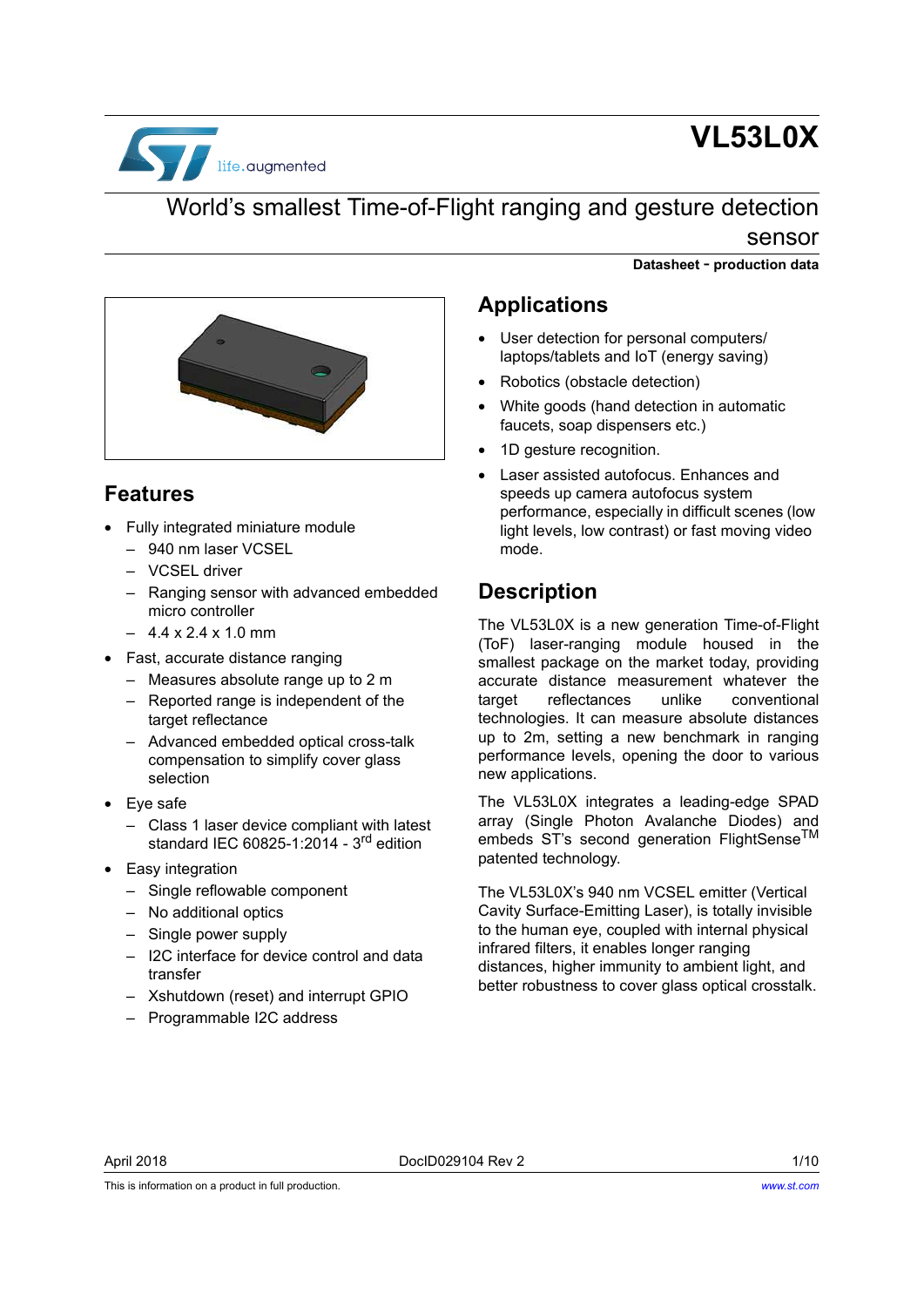

# **VL53L0X**

### World's smallest Time-of-Flight ranging and gesture detection sensor

**Datasheet** - **production data**



### <span id="page-0-0"></span>**Features**

- Fully integrated miniature module
	- 940 nm laser VCSEL
	- VCSEL driver
	- Ranging sensor with advanced embedded micro controller
	- $-4.4 \times 2.4 \times 1.0 \text{ mm}$
- Fast, accurate distance ranging
	- Measures absolute range up to 2 m
	- Reported range is independent of the target reflectance
	- Advanced embedded optical cross-talk compensation to simplify cover glass selection
- Eye safe
	- Class 1 laser device compliant with latest standard IEC 60825-1:2014 -  $3<sup>rd</sup>$  edition
- Easy integration
	- Single reflowable component
	- No additional optics
	- Single power supply
	- I2C interface for device control and data transfer
	- Xshutdown (reset) and interrupt GPIO
	- Programmable I2C address

### **Applications**

- User detection for personal computers/ laptops/tablets and IoT (energy saving)
- Robotics (obstacle detection)
- White goods (hand detection in automatic faucets, soap dispensers etc.)
- 1D gesture recognition.
- Laser assisted autofocus. Enhances and speeds up camera autofocus system performance, especially in difficult scenes (low light levels, low contrast) or fast moving video mode.

### <span id="page-0-1"></span>**Description**

The VL53L0X is a new generation Time-of-Flight (ToF) laser-ranging module housed in the smallest package on the market today, providing accurate distance measurement whatever the target reflectances unlike conventional technologies. It can measure absolute distances up to 2m, setting a new benchmark in ranging performance levels, opening the door to various new applications.

The VL53L0X integrates a leading-edge SPAD array (Single Photon Avalanche Diodes) and embeds ST's second generation FlightSense<sup>TM</sup> patented technology.

The VL53L0X's 940 nm VCSEL emitter (Vertical Cavity Surface-Emitting Laser), is totally invisible to the human eye, coupled with internal physical infrared filters, it enables longer ranging distances, higher immunity to ambient light, and better robustness to cover glass optical crosstalk.

This is information on a product in full production.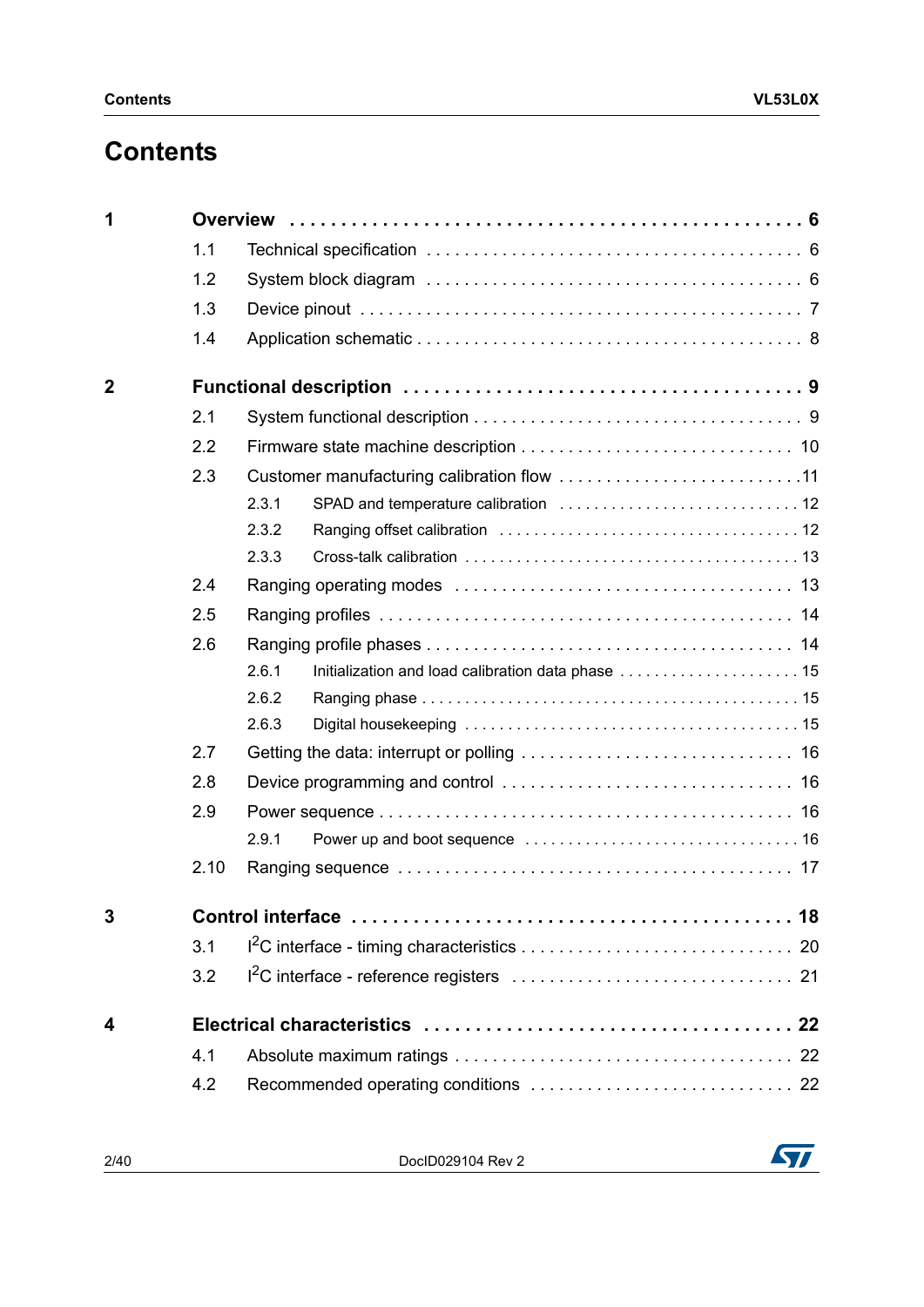# **Contents**

| 1           |      |       |                                                    |  |  |  |
|-------------|------|-------|----------------------------------------------------|--|--|--|
|             | 1.1  |       |                                                    |  |  |  |
|             | 1.2  |       |                                                    |  |  |  |
|             | 1.3  |       |                                                    |  |  |  |
|             | 1.4  |       |                                                    |  |  |  |
| $\mathbf 2$ |      |       |                                                    |  |  |  |
|             | 2.1  |       |                                                    |  |  |  |
|             | 2.2  |       |                                                    |  |  |  |
|             | 2.3  |       |                                                    |  |  |  |
|             |      | 2.3.1 |                                                    |  |  |  |
|             |      | 2.3.2 |                                                    |  |  |  |
|             |      | 2.3.3 |                                                    |  |  |  |
|             | 2.4  |       |                                                    |  |  |  |
|             | 2.5  |       |                                                    |  |  |  |
|             | 2.6  |       |                                                    |  |  |  |
|             |      | 2.6.1 | Initialization and load calibration data phase  15 |  |  |  |
|             |      | 2.6.2 |                                                    |  |  |  |
|             |      | 2.6.3 |                                                    |  |  |  |
|             | 2.7  |       |                                                    |  |  |  |
|             | 2.8  |       |                                                    |  |  |  |
|             | 2.9  |       |                                                    |  |  |  |
|             |      | 2.9.1 |                                                    |  |  |  |
|             | 2.10 |       |                                                    |  |  |  |
| 3           |      |       |                                                    |  |  |  |
|             | 3.1  |       |                                                    |  |  |  |
|             | 3.2  |       |                                                    |  |  |  |
| 4           |      |       |                                                    |  |  |  |
|             | 4.1  |       |                                                    |  |  |  |
|             | 4.2  |       |                                                    |  |  |  |

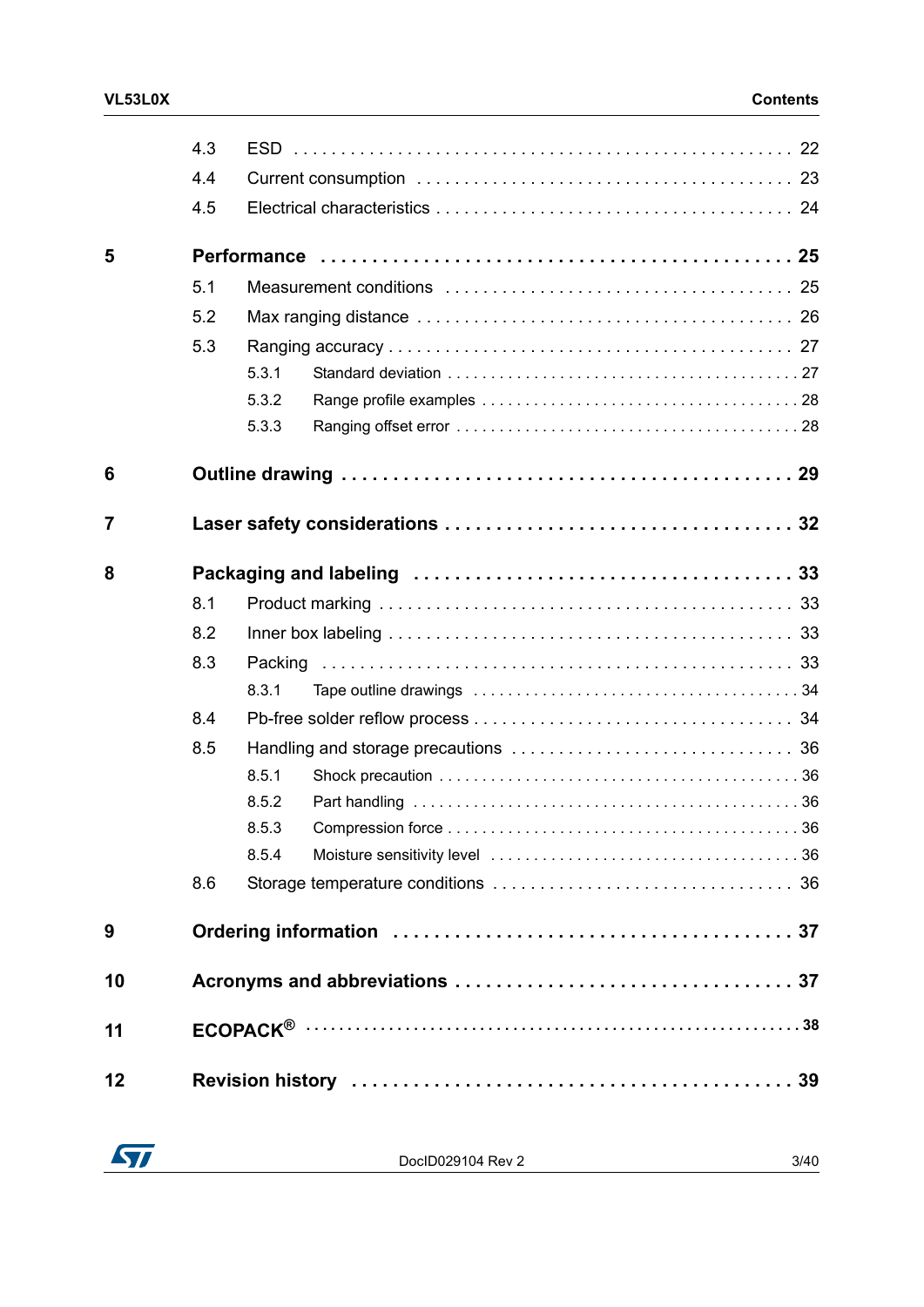|    | 4.3 |         |  |
|----|-----|---------|--|
|    | 4.4 |         |  |
|    | 4.5 |         |  |
| 5  |     |         |  |
|    | 5.1 |         |  |
|    | 5.2 |         |  |
|    | 5.3 |         |  |
|    |     | 5.3.1   |  |
|    |     | 5.3.2   |  |
|    |     | 5.3.3   |  |
| 6  |     |         |  |
| 7  |     |         |  |
| 8  |     |         |  |
|    | 8.1 |         |  |
|    | 8.2 |         |  |
|    | 8.3 | Packing |  |
|    |     | 8.3.1   |  |
|    | 8.4 |         |  |
|    | 8.5 |         |  |
|    |     | 8.5.1   |  |
|    |     | 8.5.2   |  |
|    |     | 8.5.3   |  |
|    |     | 8.5.4   |  |
|    | 8.6 |         |  |
| 9  |     |         |  |
| 10 |     |         |  |
| 11 |     |         |  |
| 12 |     |         |  |

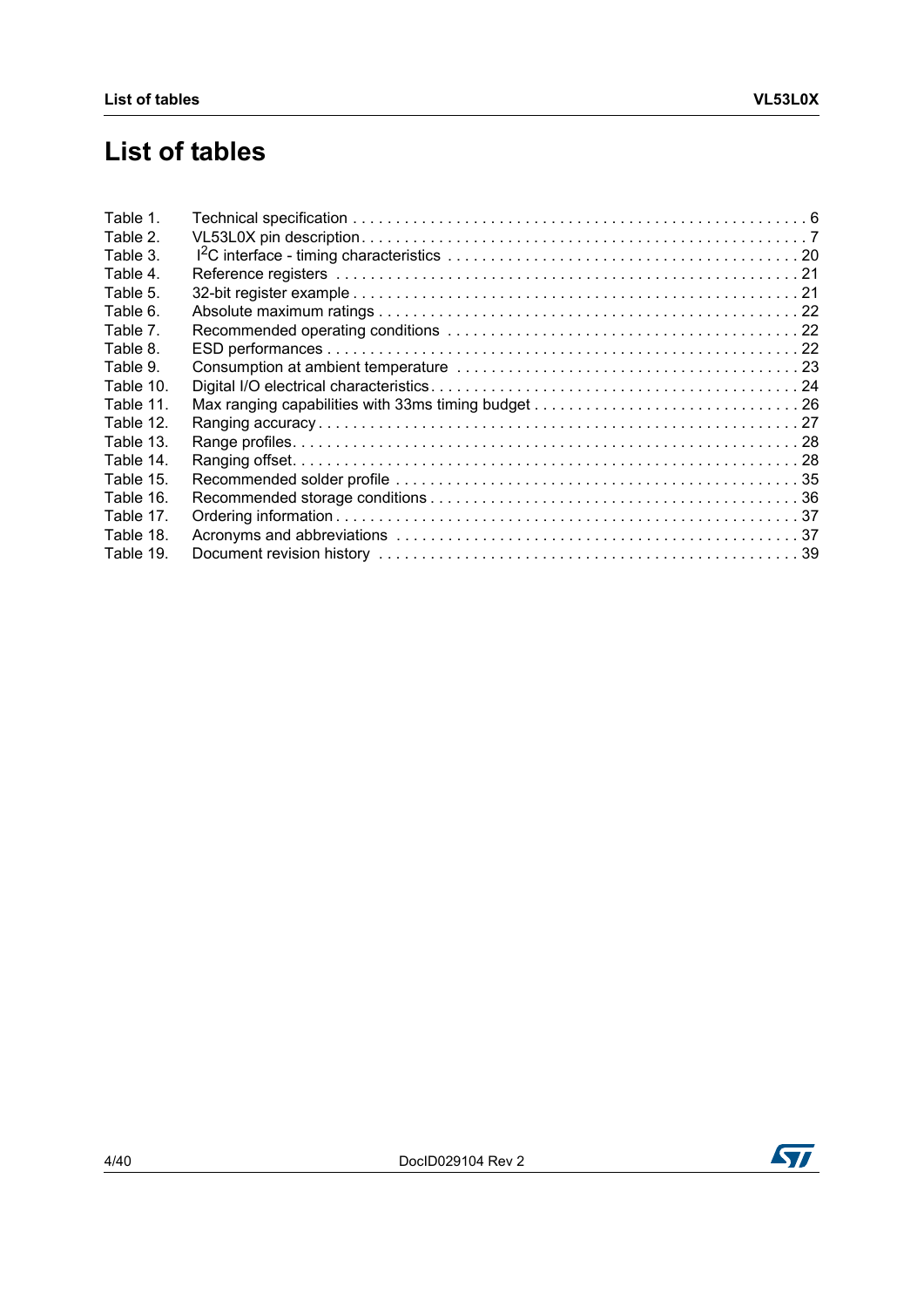# **List of tables**

| Table 1.  |  |
|-----------|--|
| Table 2.  |  |
| Table 3.  |  |
| Table 4.  |  |
| Table 5.  |  |
| Table 6.  |  |
| Table 7.  |  |
| Table 8.  |  |
| Table 9.  |  |
| Table 10. |  |
| Table 11. |  |
| Table 12. |  |
| Table 13. |  |
| Table 14. |  |
| Table 15. |  |
| Table 16. |  |
| Table 17. |  |
| Table 18. |  |
| Table 19. |  |

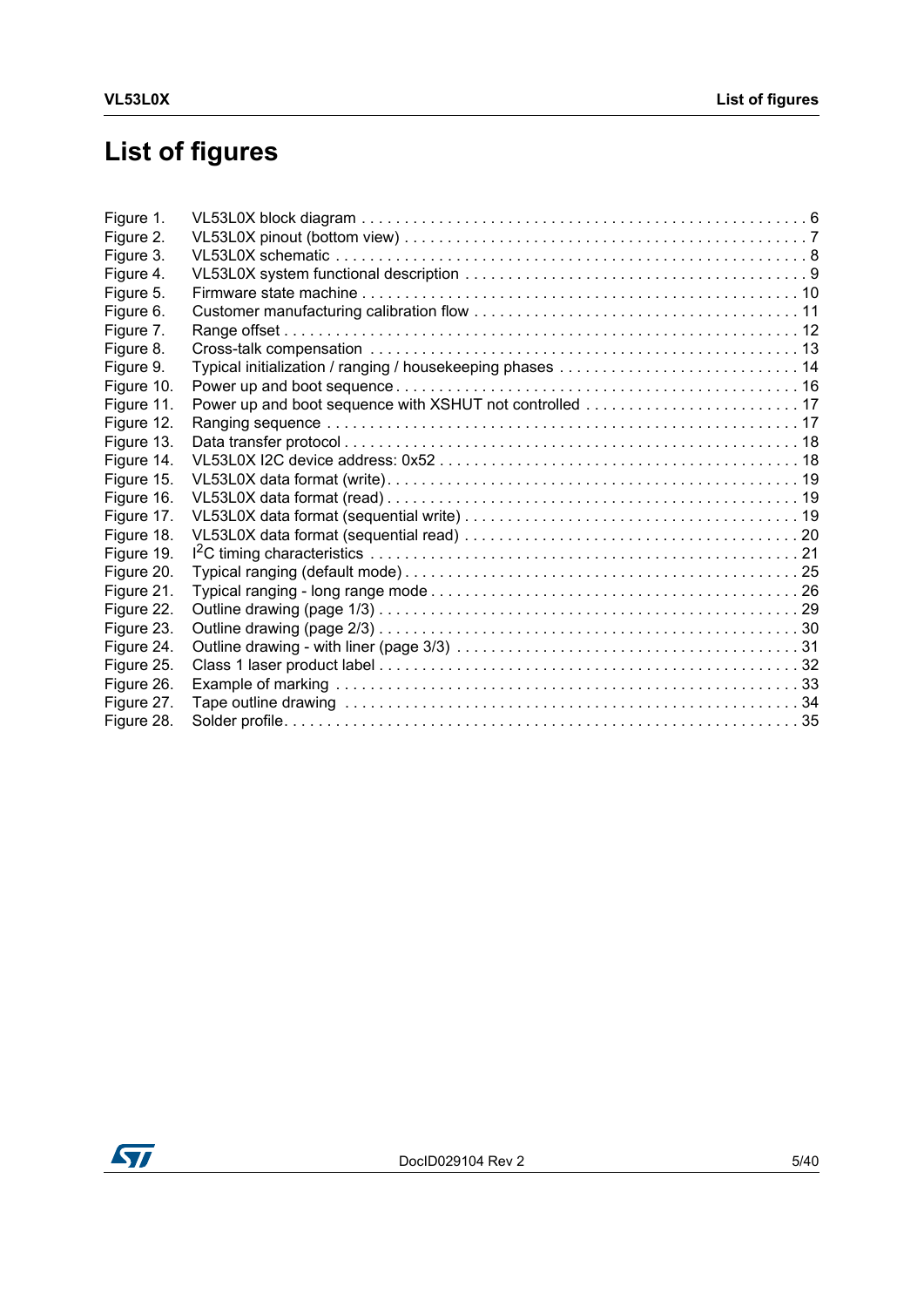# **List of figures**

| Figure 1.  |  |
|------------|--|
| Figure 2.  |  |
| Figure 3.  |  |
| Figure 4.  |  |
| Figure 5.  |  |
| Figure 6.  |  |
| Figure 7.  |  |
| Figure 8.  |  |
| Figure 9.  |  |
| Figure 10. |  |
| Figure 11. |  |
| Figure 12. |  |
| Figure 13. |  |
| Figure 14. |  |
| Figure 15. |  |
| Figure 16. |  |
| Figure 17. |  |
| Figure 18. |  |
| Figure 19. |  |
| Figure 20. |  |
| Figure 21. |  |
| Figure 22. |  |
| Figure 23. |  |
| Figure 24. |  |
| Figure 25. |  |
| Figure 26. |  |
| Figure 27. |  |
| Figure 28. |  |

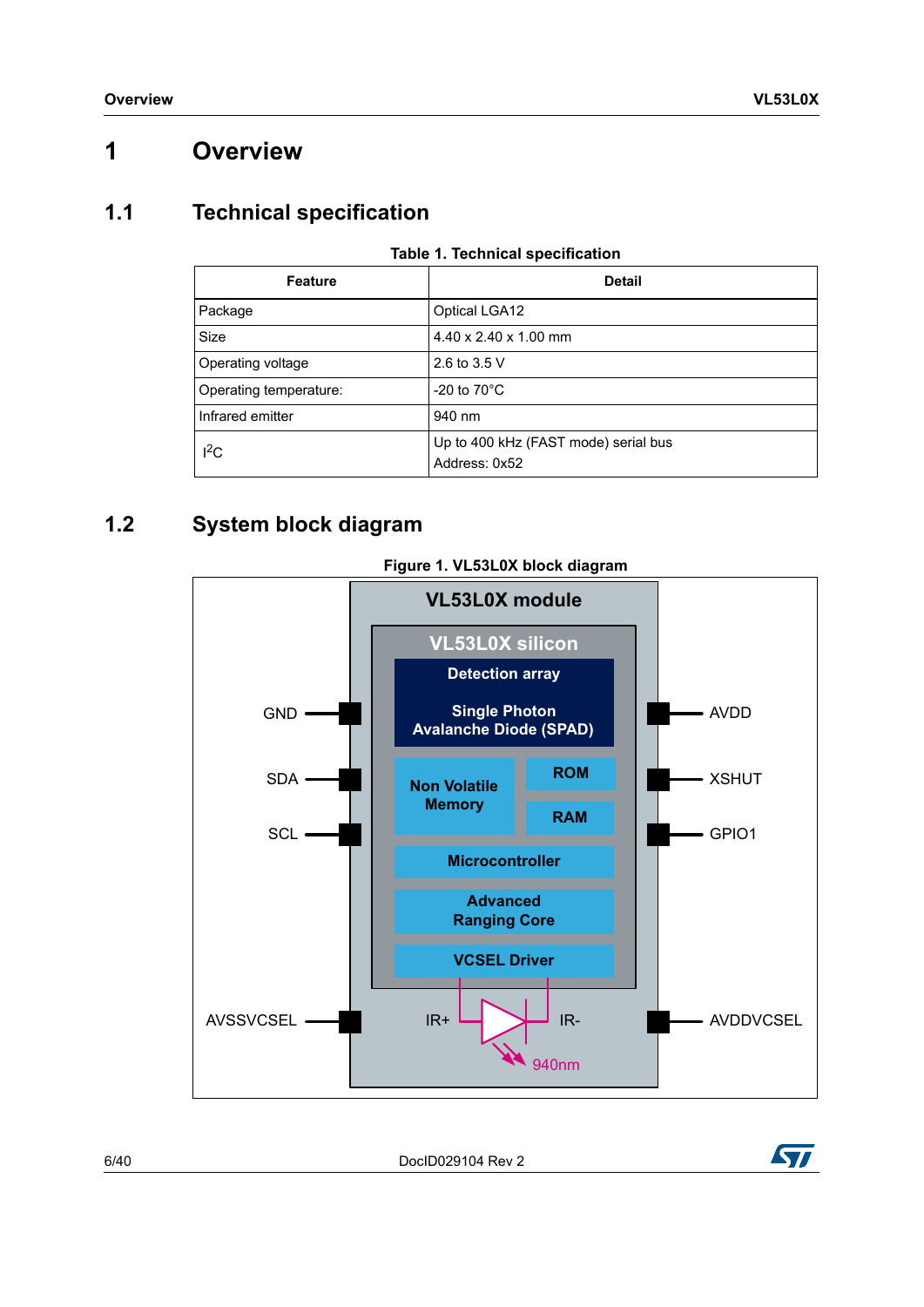### <span id="page-5-0"></span>**1 Overview**

### <span id="page-5-1"></span>**1.1 Technical specification**

<span id="page-5-3"></span>

| <b>Feature</b>         | <b>Detail</b>                                         |
|------------------------|-------------------------------------------------------|
| Package                | <b>Optical LGA12</b>                                  |
| Size                   | $4.40 \times 2.40 \times 1.00$ mm                     |
| Operating voltage      | 2.6 to 3.5 V                                          |
| Operating temperature: | -20 to $70^{\circ}$ C                                 |
| Infrared emitter       | 940 nm                                                |
| $I^2C$                 | Up to 400 kHz (FAST mode) serial bus<br>Address: 0x52 |

#### **Table 1. Technical specification**

### <span id="page-5-2"></span>**1.2 System block diagram**

<span id="page-5-4"></span>

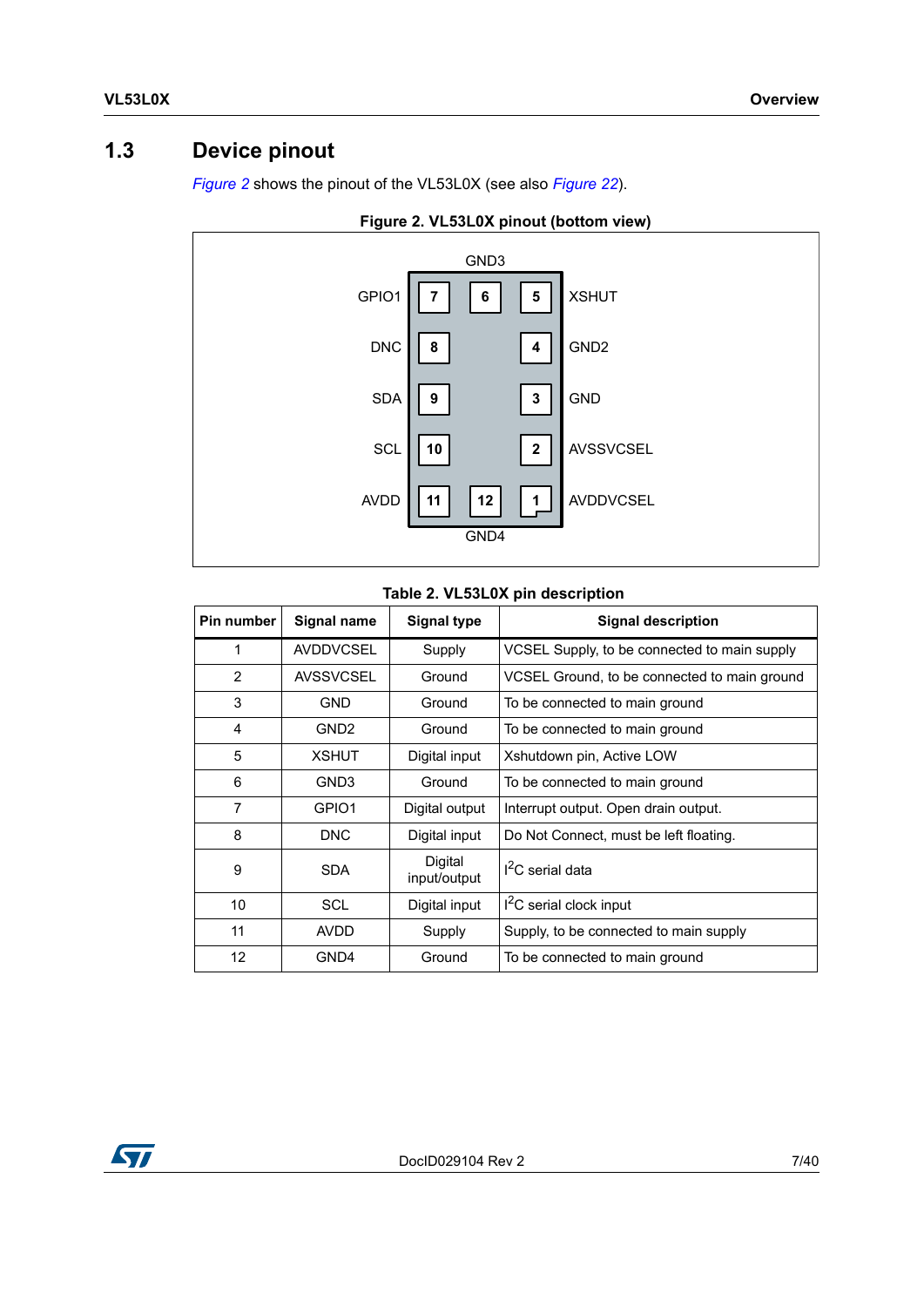### <span id="page-6-0"></span>**1.3 Device pinout**

*[Figure](#page-6-2) 2* shows the pinout of the VL53L0X (see also *[Figure](#page-28-1) 22*).



<span id="page-6-2"></span>

#### **Table 2. VL53L0X pin description**

<span id="page-6-1"></span>

| Pin number | Signal name      | <b>Signal type</b>      | <b>Signal description</b>                    |
|------------|------------------|-------------------------|----------------------------------------------|
| 1          | <b>AVDDVCSEL</b> | Supply                  | VCSEL Supply, to be connected to main supply |
| 2          | <b>AVSSVCSEL</b> | Ground                  | VCSEL Ground, to be connected to main ground |
| 3          | <b>GND</b>       | Ground                  | To be connected to main ground               |
| 4          | GND <sub>2</sub> | Ground                  | To be connected to main ground               |
| 5          | <b>XSHUT</b>     | Digital input           | Xshutdown pin, Active LOW                    |
| 6          | GND3             | Ground                  | To be connected to main ground               |
| 7          | GPIO1            | Digital output          | Interrupt output. Open drain output.         |
| 8          | <b>DNC</b>       | Digital input           | Do Not Connect, must be left floating.       |
| 9          | <b>SDA</b>       | Digital<br>input/output | $I2C$ serial data                            |
| 10         | SCL              | Digital input           | $I2C$ serial clock input                     |
| 11         | AVDD             | Supply                  | Supply, to be connected to main supply       |
| 12         | GND4             | Ground                  | To be connected to main ground               |

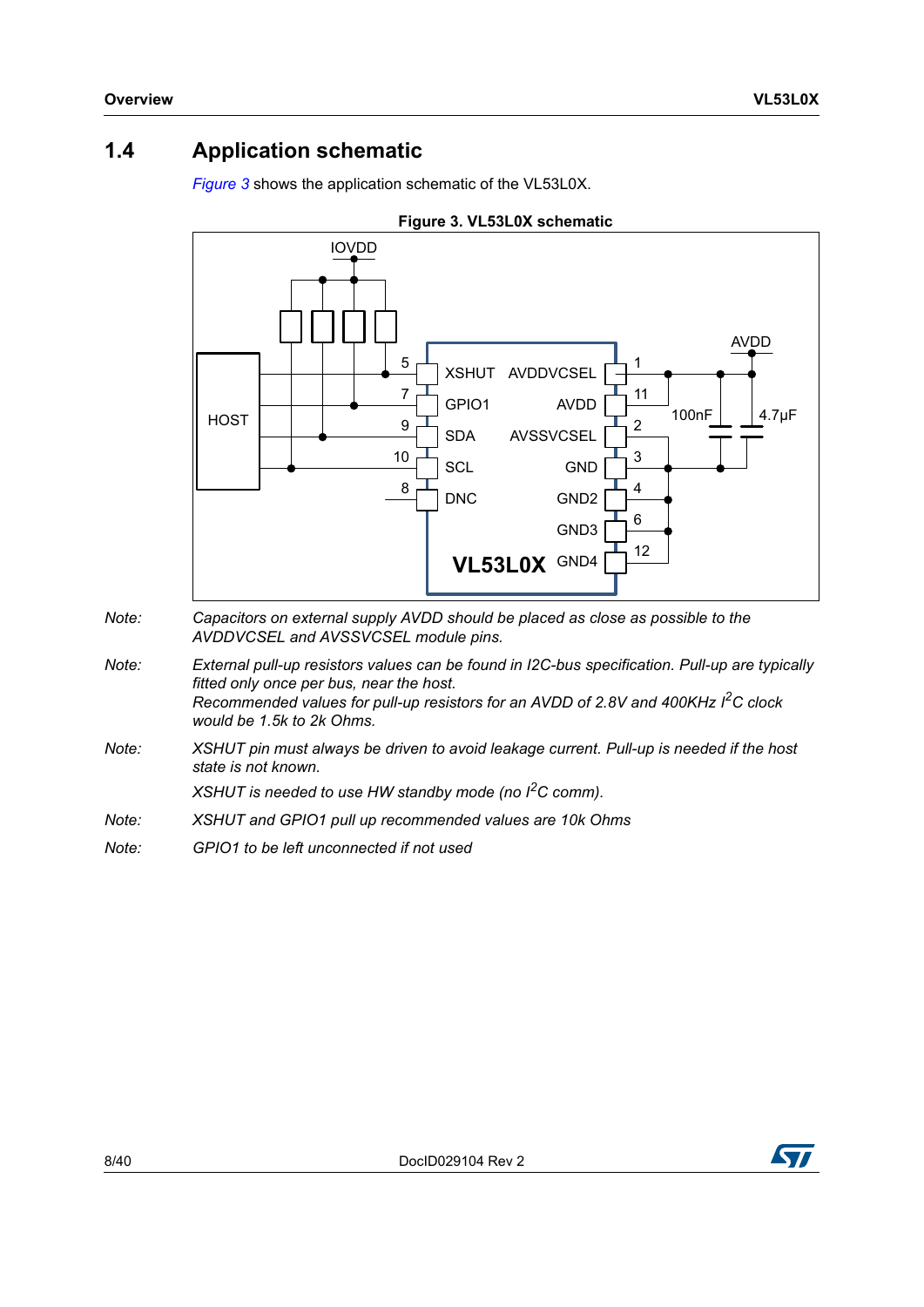### <span id="page-7-0"></span>**1.4 Application schematic**

<span id="page-7-1"></span>*[Figure](#page-7-1) 3* shows the application schematic of the VL53L0X.



- *Note: Capacitors on external supply AVDD should be placed as close as possible to the AVDDVCSEL and AVSSVCSEL module pins.*
- *Note: External pull-up resistors values can be found in I2C-bus specification. Pull-up are typically fitted only once per bus, near the host. Recommended values for pull-up resistors for an AVDD of 2.8V and 400KHz I2C clock would be 1.5k to 2k Ohms.*
- *Note: XSHUT pin must always be driven to avoid leakage current. Pull-up is needed if the host state is not known.*

*XSHUT is needed to use HW standby mode (no I2C comm).* 

- *Note: XSHUT and GPIO1 pull up recommended values are 10k Ohms*
- *Note: GPIO1 to be left unconnected if not used*

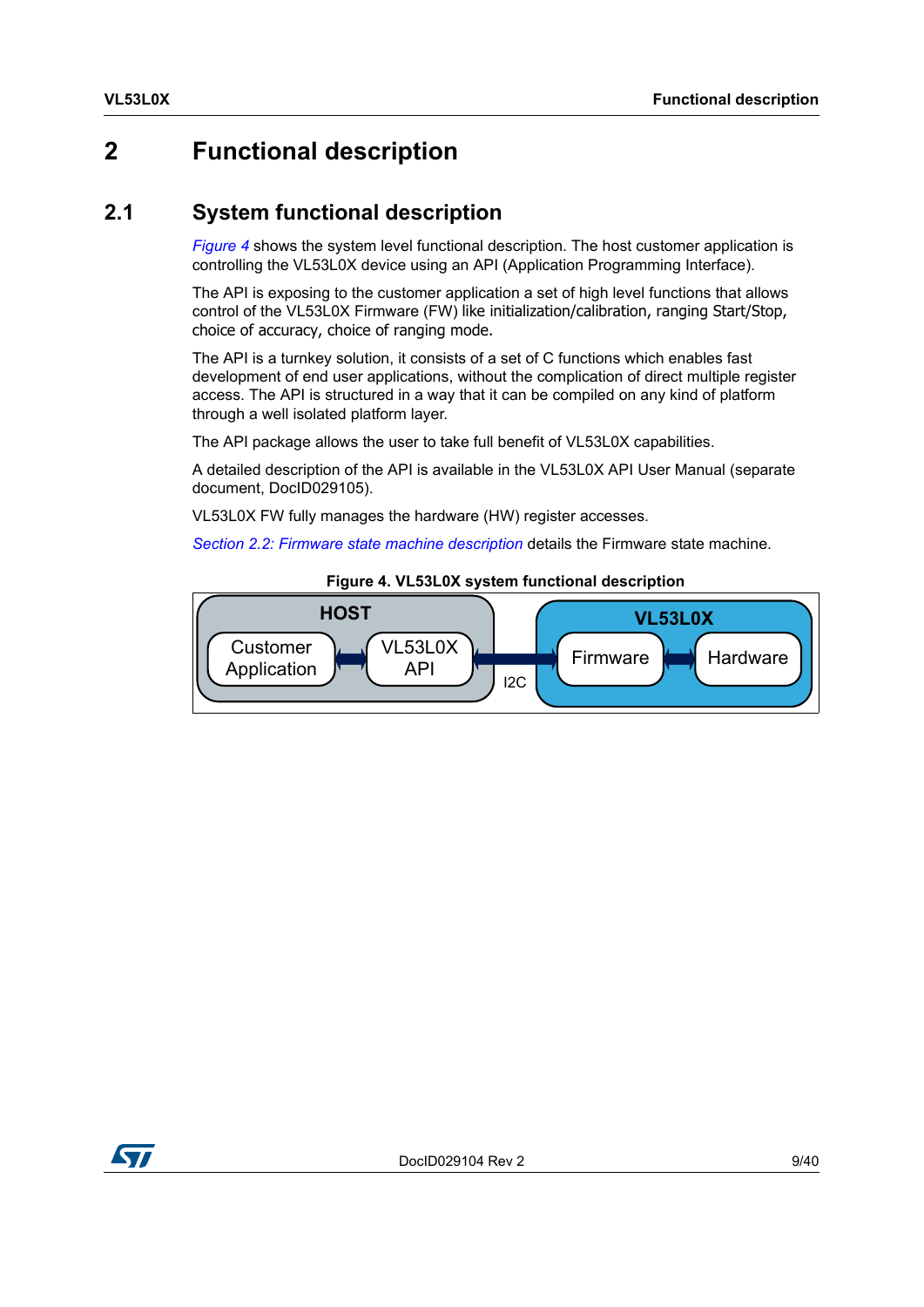### <span id="page-8-0"></span>**2 Functional description**

### <span id="page-8-1"></span>**2.1 System functional description**

*[Figure](#page-8-2) 4* shows the system level functional description. The host customer application is controlling the VL53L0X device using an API (Application Programming Interface).

The API is exposing to the customer application a set of high level functions that allows control of the VL53L0X Firmware (FW) like initialization/calibration, ranging Start/Stop, choice of accuracy, choice of ranging mode.

The API is a turnkey solution, it consists of a set of C functions which enables fast development of end user applications, without the complication of direct multiple register access. The API is structured in a way that it can be compiled on any kind of platform through a well isolated platform layer.

The API package allows the user to take full benefit of VL53L0X capabilities.

A detailed description of the API is available in the VL53L0X API User Manual (separate document, DocID029105).

VL53L0X FW fully manages the hardware (HW) register accesses.

*Section [2.2: Firmware state machine description](#page-9-0)* details the Firmware state machine.

<span id="page-8-2"></span>

#### **Figure 4. VL53L0X system functional description**

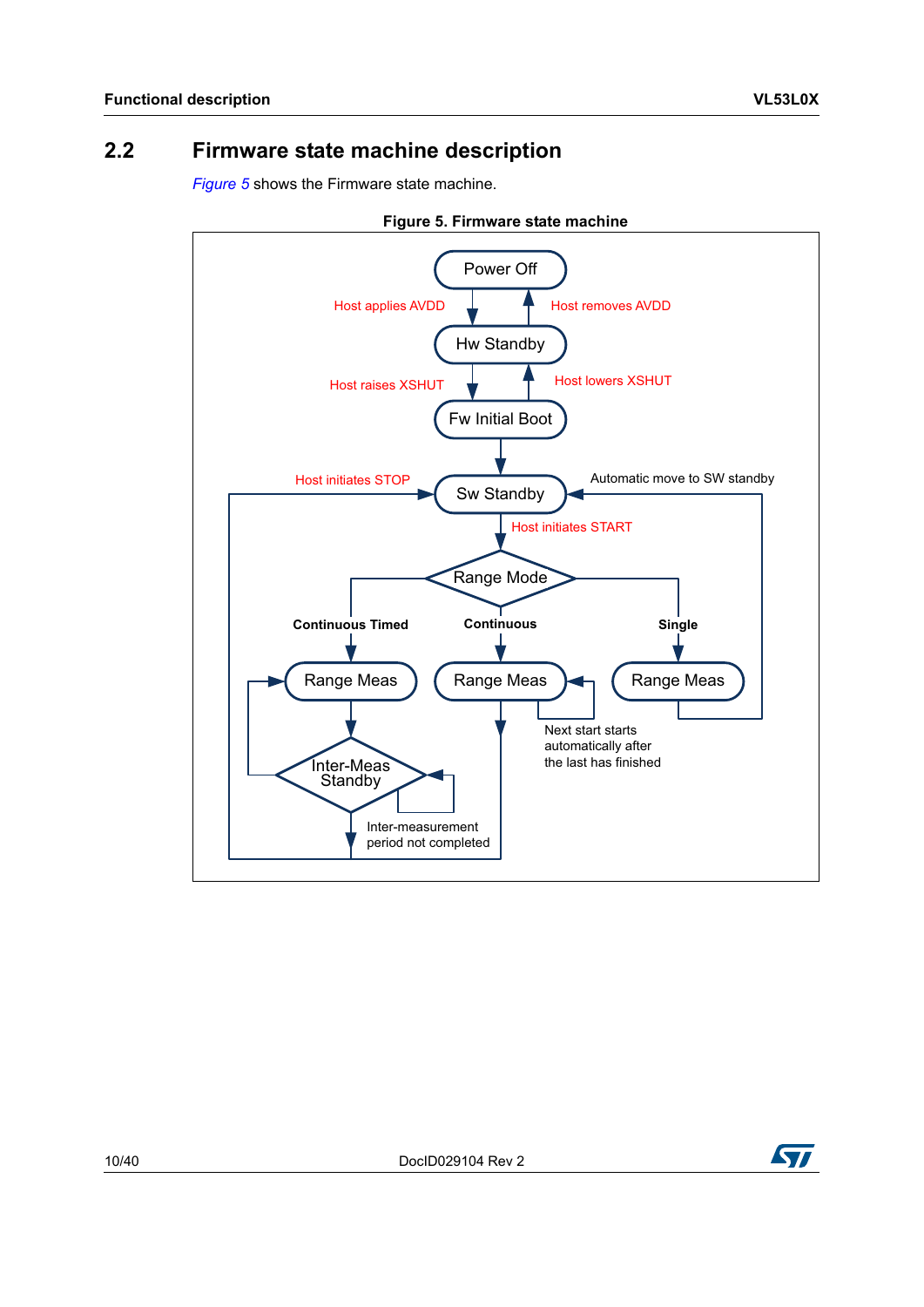### <span id="page-9-0"></span>**2.2 Firmware state machine description**

*[Figure](#page-9-1) 5* shows the Firmware state machine.

<span id="page-9-1"></span>



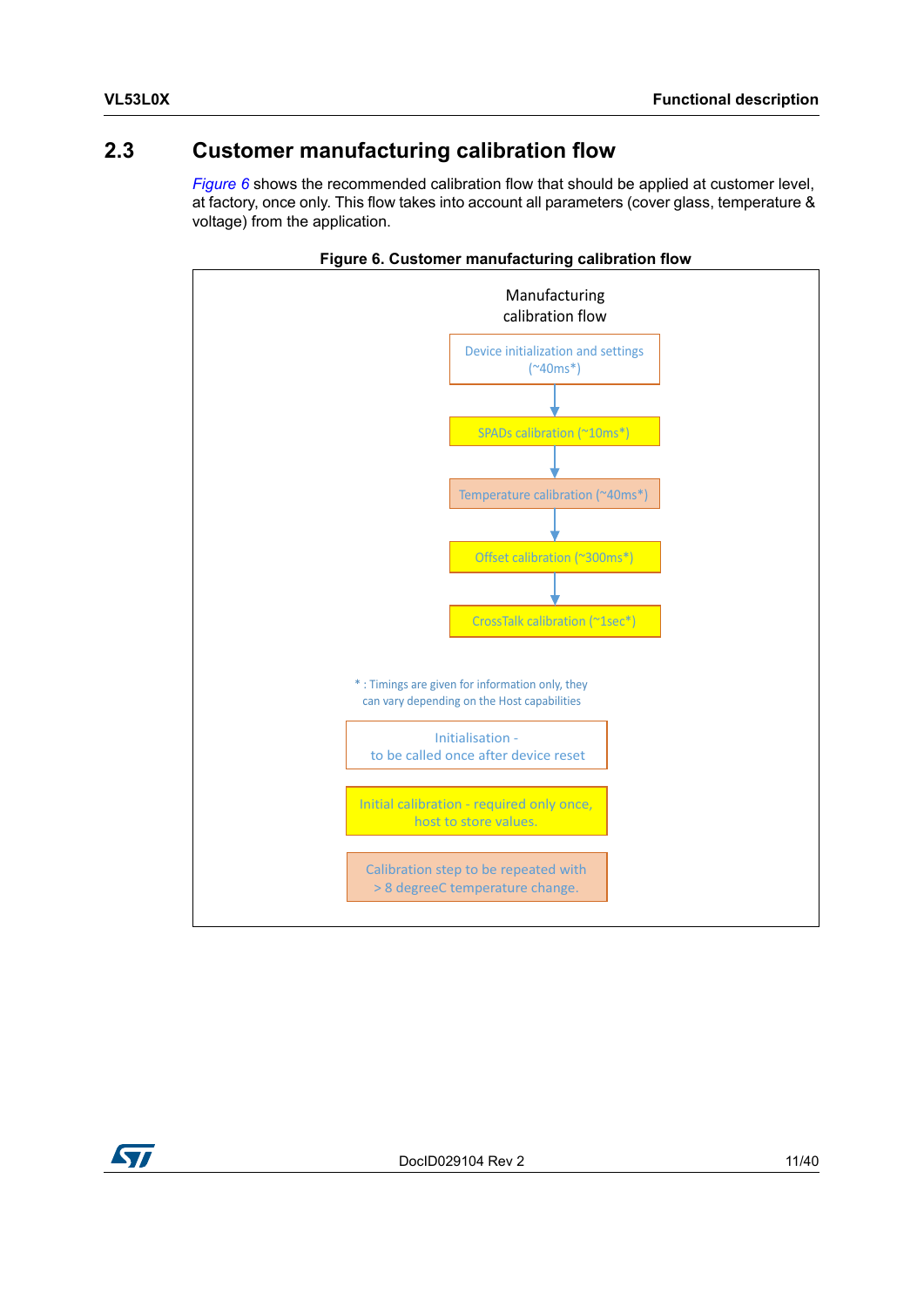### <span id="page-10-0"></span>**2.3 Customer manufacturing calibration flow**

*[Figure](#page-10-1)* 6 shows the recommended calibration flow that should be applied at customer level, at factory, once only. This flow takes into account all parameters (cover glass, temperature & voltage) from the application.

<span id="page-10-1"></span>



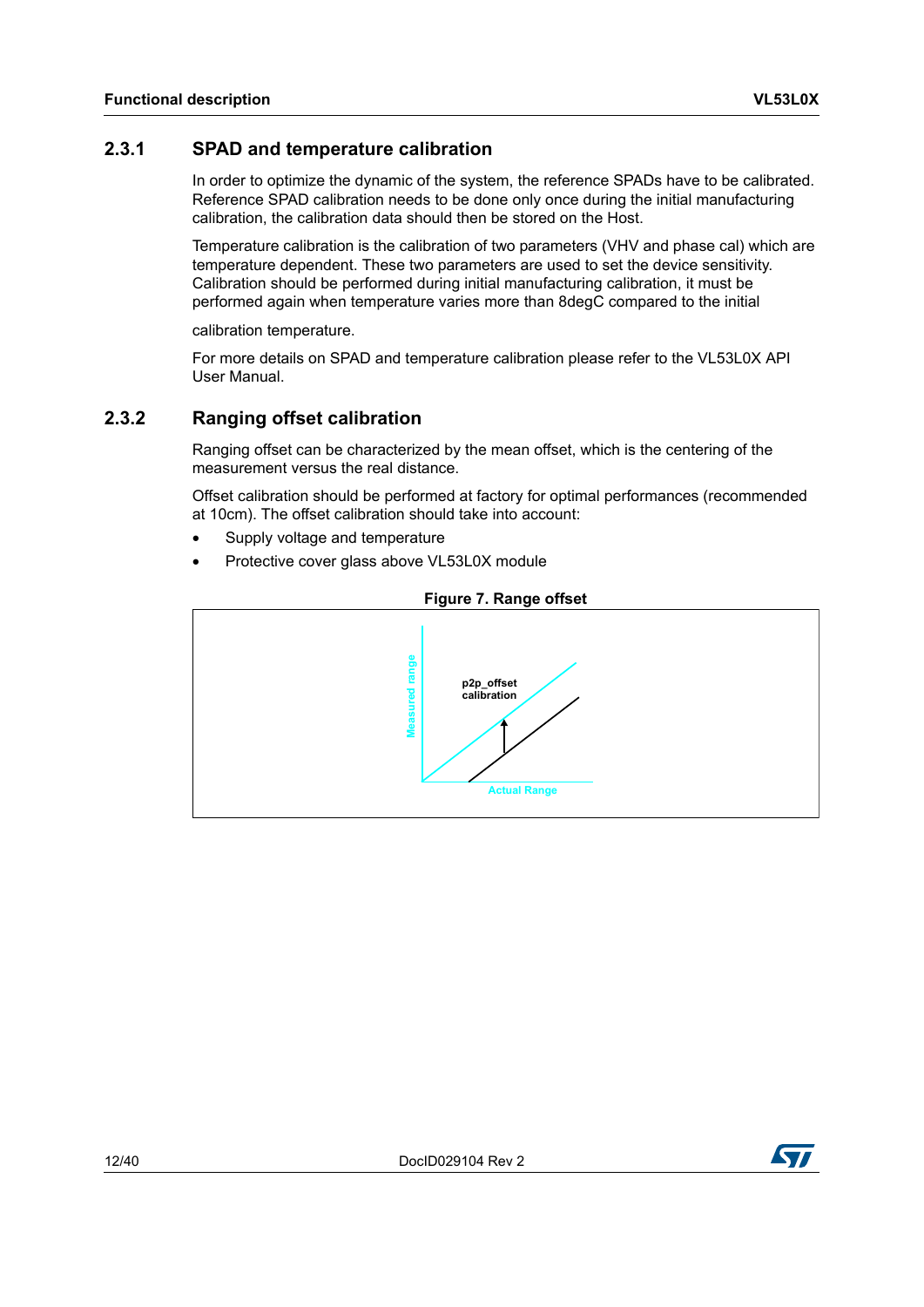#### <span id="page-11-0"></span>**2.3.1 SPAD and temperature calibration**

In order to optimize the dynamic of the system, the reference SPADs have to be calibrated. Reference SPAD calibration needs to be done only once during the initial manufacturing calibration, the calibration data should then be stored on the Host.

Temperature calibration is the calibration of two parameters (VHV and phase cal) which are temperature dependent. These two parameters are used to set the device sensitivity. Calibration should be performed during initial manufacturing calibration, it must be performed again when temperature varies more than 8degC compared to the initial

calibration temperature.

For more details on SPAD and temperature calibration please refer to the VL53L0X API User Manual.

#### <span id="page-11-1"></span>**2.3.2 Ranging offset calibration**

Ranging offset can be characterized by the mean offset, which is the centering of the measurement versus the real distance.

Offset calibration should be performed at factory for optimal performances (recommended at 10cm). The offset calibration should take into account:

- Supply voltage and temperature
- Protective cover glass above VL53L0X module

<span id="page-11-2"></span>

#### **Figure 7. Range offset**

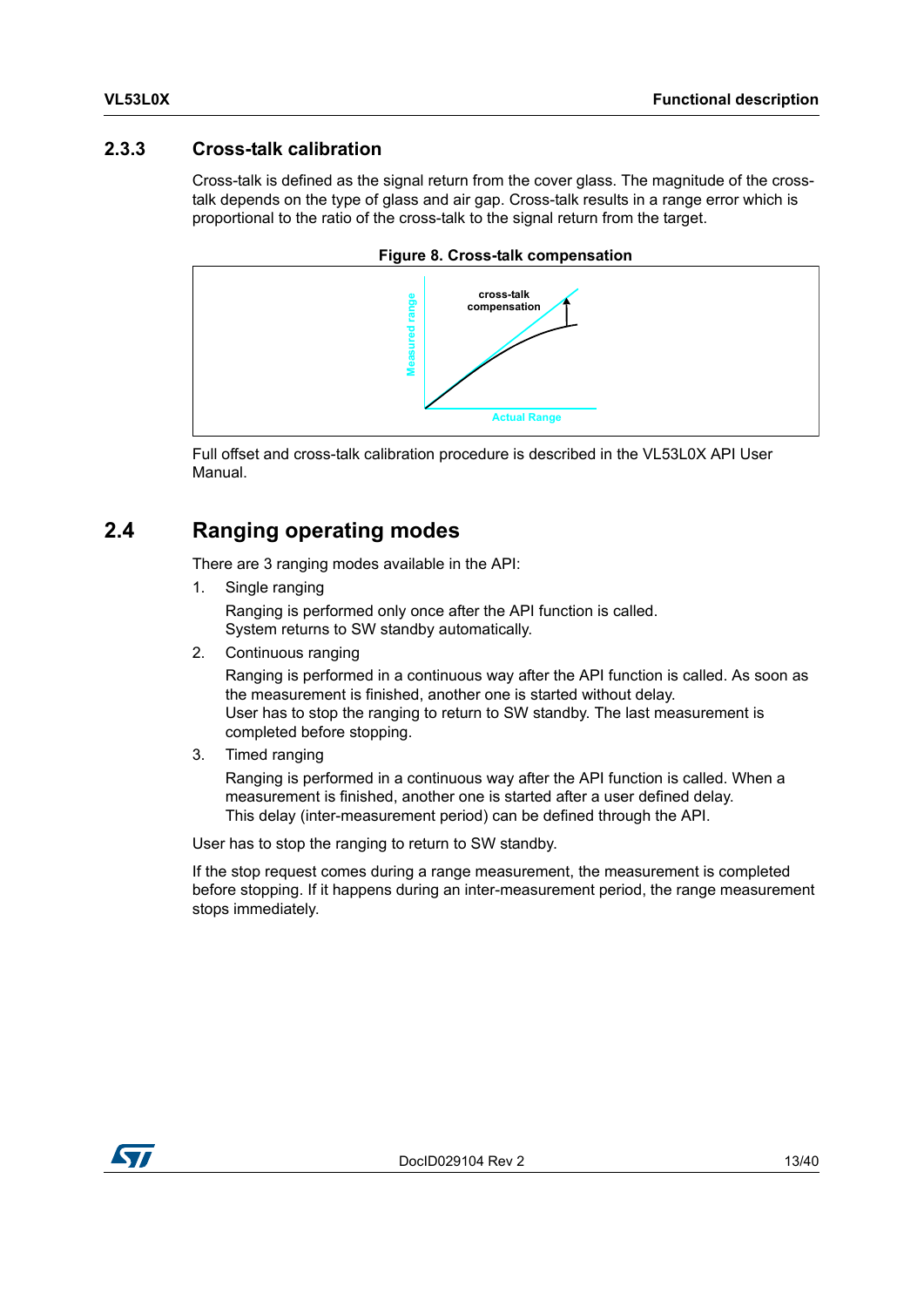#### <span id="page-12-0"></span>**2.3.3 Cross-talk calibration**

Cross-talk is defined as the signal return from the cover glass. The magnitude of the crosstalk depends on the type of glass and air gap. Cross-talk results in a range error which is proportional to the ratio of the cross-talk to the signal return from the target.

<span id="page-12-2"></span>

**Figure 8. Cross-talk compensation**

Full offset and cross-talk calibration procedure is described in the VL53L0X API User Manual.

### <span id="page-12-1"></span>**2.4 Ranging operating modes**

There are 3 ranging modes available in the API:

1. Single ranging

Ranging is performed only once after the API function is called. System returns to SW standby automatically.

2. Continuous ranging

Ranging is performed in a continuous way after the API function is called. As soon as the measurement is finished, another one is started without delay. User has to stop the ranging to return to SW standby. The last measurement is completed before stopping.

3. Timed ranging

Ranging is performed in a continuous way after the API function is called. When a measurement is finished, another one is started after a user defined delay. This delay (inter-measurement period) can be defined through the API.

User has to stop the ranging to return to SW standby.

If the stop request comes during a range measurement, the measurement is completed before stopping. If it happens during an inter-measurement period, the range measurement stops immediately.

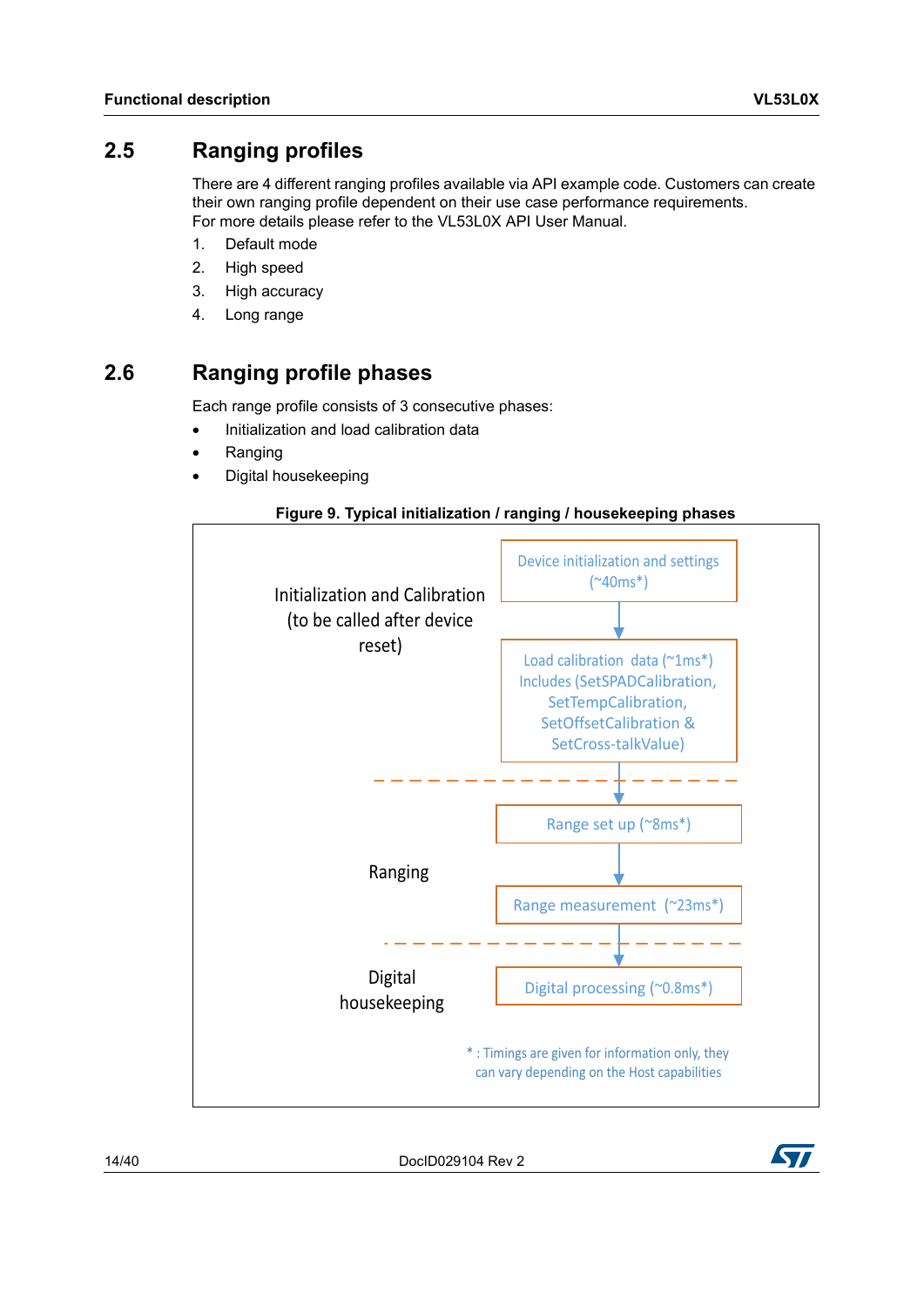### <span id="page-13-0"></span>**2.5 Ranging profiles**

There are 4 different ranging profiles available via API example code. Customers can create their own ranging profile dependent on their use case performance requirements. For more details please refer to the VL53L0X API User Manual.

- 1. Default mode
- 2. High speed
- 3. High accuracy
- 4. Long range

### <span id="page-13-1"></span>**2.6 Ranging profile phases**

Each range profile consists of 3 consecutive phases:

- Initialization and load calibration data
- Ranging
- Digital housekeeping

#### **Figure 9. Typical initialization / ranging / housekeeping phases**

<span id="page-13-2"></span>

14/40 DocID029104 Rev 2

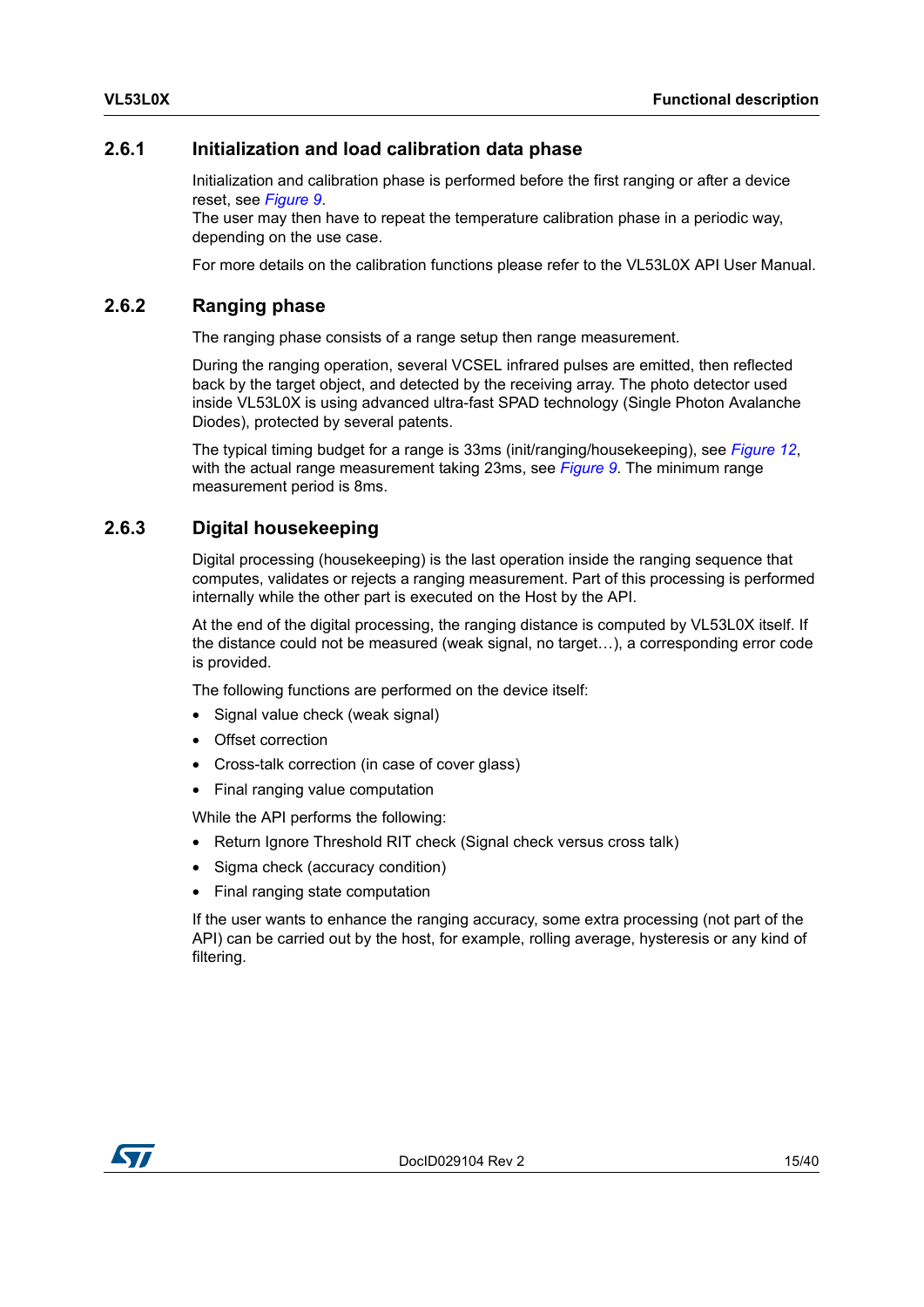#### <span id="page-14-0"></span>**2.6.1 Initialization and load calibration data phase**

Initialization and calibration phase is performed before the first ranging or after a device reset, see *[Figure](#page-13-2) 9*.

The user may then have to repeat the temperature calibration phase in a periodic way, depending on the use case.

<span id="page-14-3"></span>For more details on the calibration functions please refer to the VL53L0X API User Manual.

#### <span id="page-14-1"></span>**2.6.2 Ranging phase**

The ranging phase consists of a range setup then range measurement.

During the ranging operation, several VCSEL infrared pulses are emitted, then reflected back by the target object, and detected by the receiving array. The photo detector used inside VL53L0X is using advanced ultra-fast SPAD technology (Single Photon Avalanche Diodes), protected by several patents.

The typical timing budget for a range is 33ms (init/ranging/housekeeping), see *[Figure](#page-16-2) 12*, with the actual range measurement taking 23ms, see *[Figure](#page-13-2) 9*. The minimum range measurement period is 8ms.

#### <span id="page-14-2"></span>**2.6.3 Digital housekeeping**

Digital processing (housekeeping) is the last operation inside the ranging sequence that computes, validates or rejects a ranging measurement. Part of this processing is performed internally while the other part is executed on the Host by the API.

At the end of the digital processing, the ranging distance is computed by VL53L0X itself. If the distance could not be measured (weak signal, no target…), a corresponding error code is provided.

The following functions are performed on the device itself:

- Signal value check (weak signal)
- Offset correction
- Cross-talk correction (in case of cover glass)
- Final ranging value computation

While the API performs the following:

- Return Ignore Threshold RIT check (Signal check versus cross talk)
- Sigma check (accuracy condition)
- Final ranging state computation

If the user wants to enhance the ranging accuracy, some extra processing (not part of the API) can be carried out by the host, for example, rolling average, hysteresis or any kind of filtering.

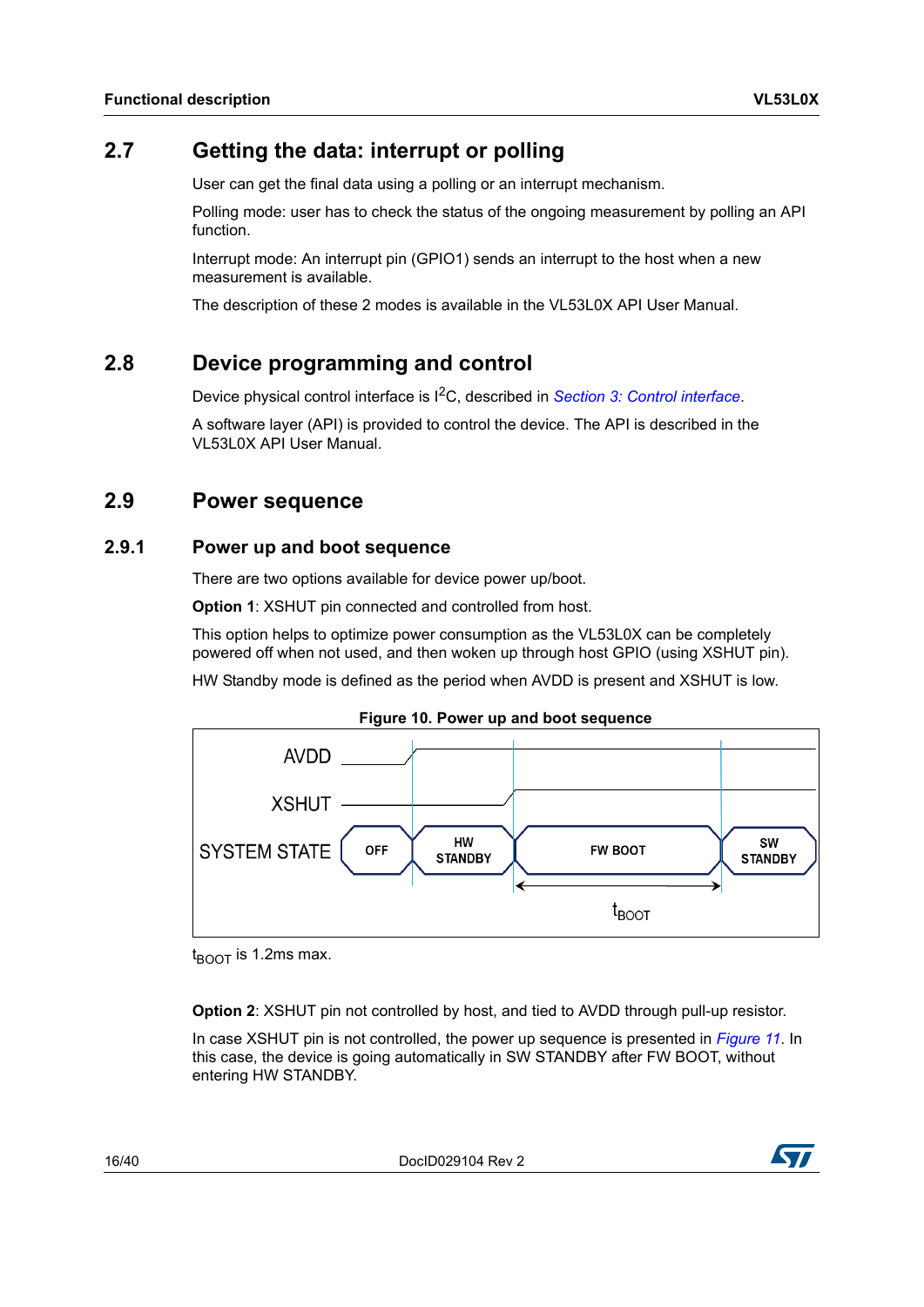### <span id="page-15-0"></span>**2.7 Getting the data: interrupt or polling**

User can get the final data using a polling or an interrupt mechanism.

Polling mode: user has to check the status of the ongoing measurement by polling an API function.

Interrupt mode: An interrupt pin (GPIO1) sends an interrupt to the host when a new measurement is available.

The description of these 2 modes is available in the VL53L0X API User Manual.

### <span id="page-15-1"></span>**2.8 Device programming and control**

Device physical control interface is I2C, described in *Section [3: Control interface](#page-17-0)*.

A software layer (API) is provided to control the device. The API is described in the VL53L0X API User Manual.

### <span id="page-15-2"></span>**2.9 Power sequence**

#### <span id="page-15-3"></span>**2.9.1 Power up and boot sequence**

There are two options available for device power up/boot.

**Option 1**: XSHUT pin connected and controlled from host.

This option helps to optimize power consumption as the VL53L0X can be completely powered off when not used, and then woken up through host GPIO (using XSHUT pin).

HW Standby mode is defined as the period when AVDD is present and XSHUT is low.



<span id="page-15-4"></span>

 $t_{\text{ROT}}$  is 1.2ms max.

**Option 2**: XSHUT pin not controlled by host, and tied to AVDD through pull-up resistor.

In case XSHUT pin is not controlled, the power up sequence is presented in *[Figure](#page-16-1) 11*. In this case, the device is going automatically in SW STANDBY after FW BOOT, without entering HW STANDBY.

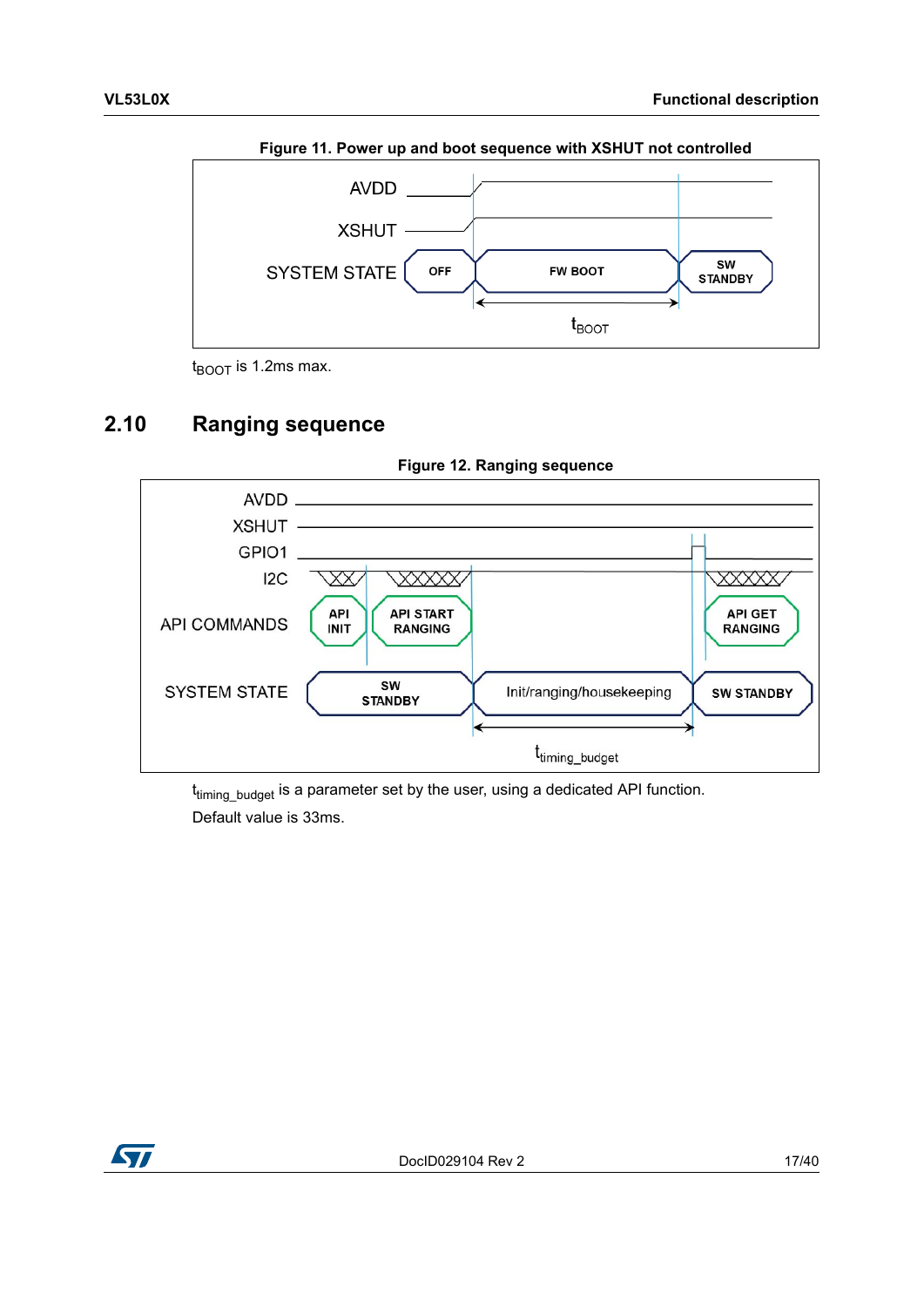<span id="page-16-1"></span>

**Figure 11. Power up and boot sequence with XSHUT not controlled**

 $t_{\text{BOOT}}$  is 1.2ms max.

### <span id="page-16-0"></span>**2.10 Ranging sequence**

<span id="page-16-2"></span>

**Figure 12. Ranging sequence**

t<sub>timing\_budget</sub> is a parameter set by the user, using a dedicated API function. Default value is 33ms.

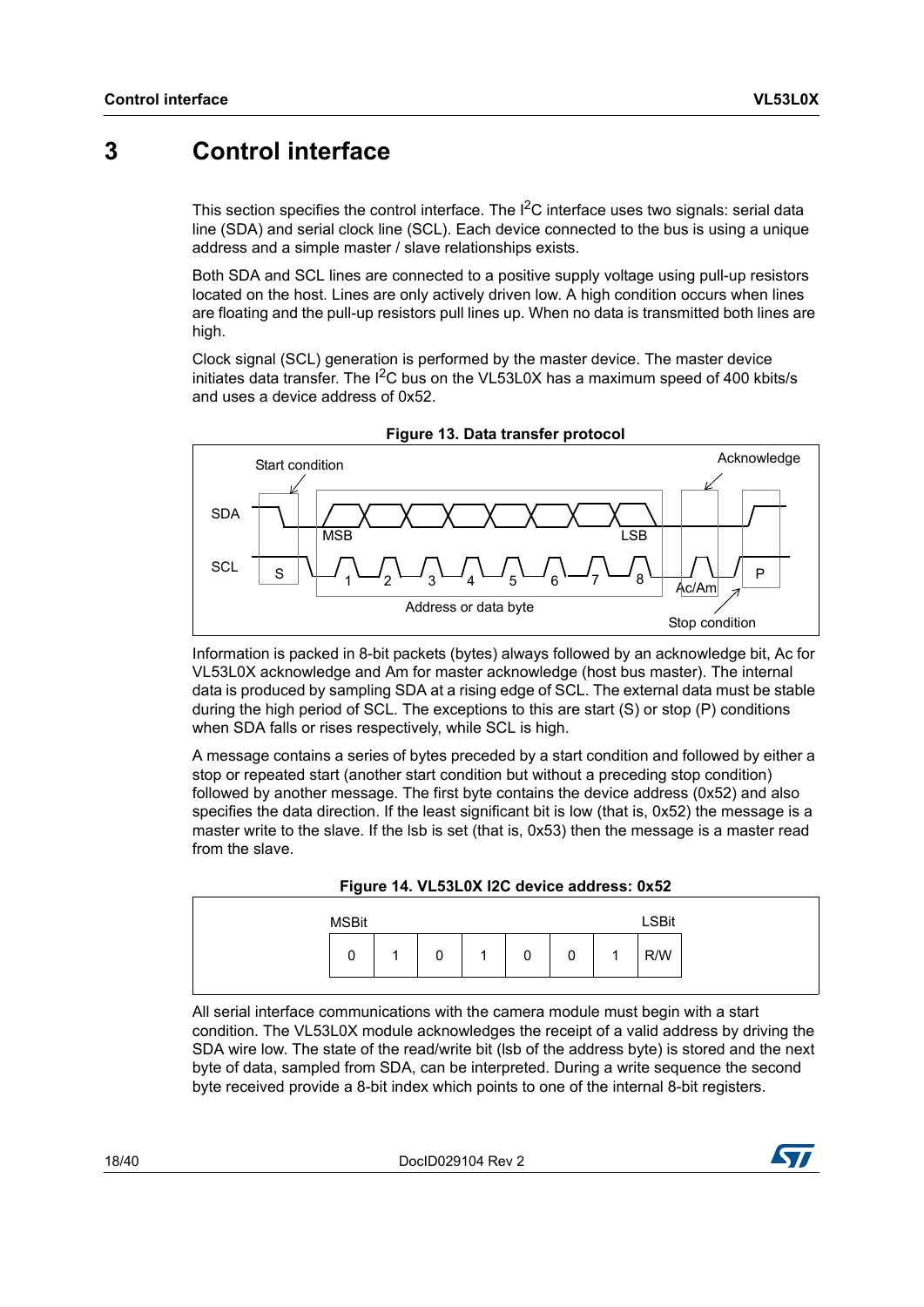### <span id="page-17-0"></span>**3 Control interface**

This section specifies the control interface. The  ${}^{12}C$  interface uses two signals: serial data line (SDA) and serial clock line (SCL). Each device connected to the bus is using a unique address and a simple master / slave relationships exists.

Both SDA and SCL lines are connected to a positive supply voltage using pull-up resistors located on the host. Lines are only actively driven low. A high condition occurs when lines are floating and the pull-up resistors pull lines up. When no data is transmitted both lines are high.

Clock signal (SCL) generation is performed by the master device. The master device initiates data transfer. The  $I^2C$  bus on the VL53L0X has a maximum speed of 400 kbits/s and uses a device address of 0x52.

<span id="page-17-1"></span>

**Figure 13. Data transfer protocol**

Information is packed in 8-bit packets (bytes) always followed by an acknowledge bit, Ac for VL53L0X acknowledge and Am for master acknowledge (host bus master). The internal data is produced by sampling SDA at a rising edge of SCL. The external data must be stable during the high period of SCL. The exceptions to this are start (S) or stop (P) conditions when SDA falls or rises respectively, while SCL is high.

A message contains a series of bytes preceded by a start condition and followed by either a stop or repeated start (another start condition but without a preceding stop condition) followed by another message. The first byte contains the device address (0x52) and also specifies the data direction. If the least significant bit is low (that is, 0x52) the message is a master write to the slave. If the lsb is set (that is, 0x53) then the message is a master read from the slave.



<span id="page-17-2"></span>

| <b>MSBit</b> |             |   |   |   | <b>LSBit</b> |  |
|--------------|-------------|---|---|---|--------------|--|
| 0            | $\sim$<br>v | 0 | 0 | A | R/W          |  |

All serial interface communications with the camera module must begin with a start condition. The VL53L0X module acknowledges the receipt of a valid address by driving the SDA wire low. The state of the read/write bit (lsb of the address byte) is stored and the next byte of data, sampled from SDA, can be interpreted. During a write sequence the second byte received provide a 8-bit index which points to one of the internal 8-bit registers.

18/40 DocID029104 Rev 2

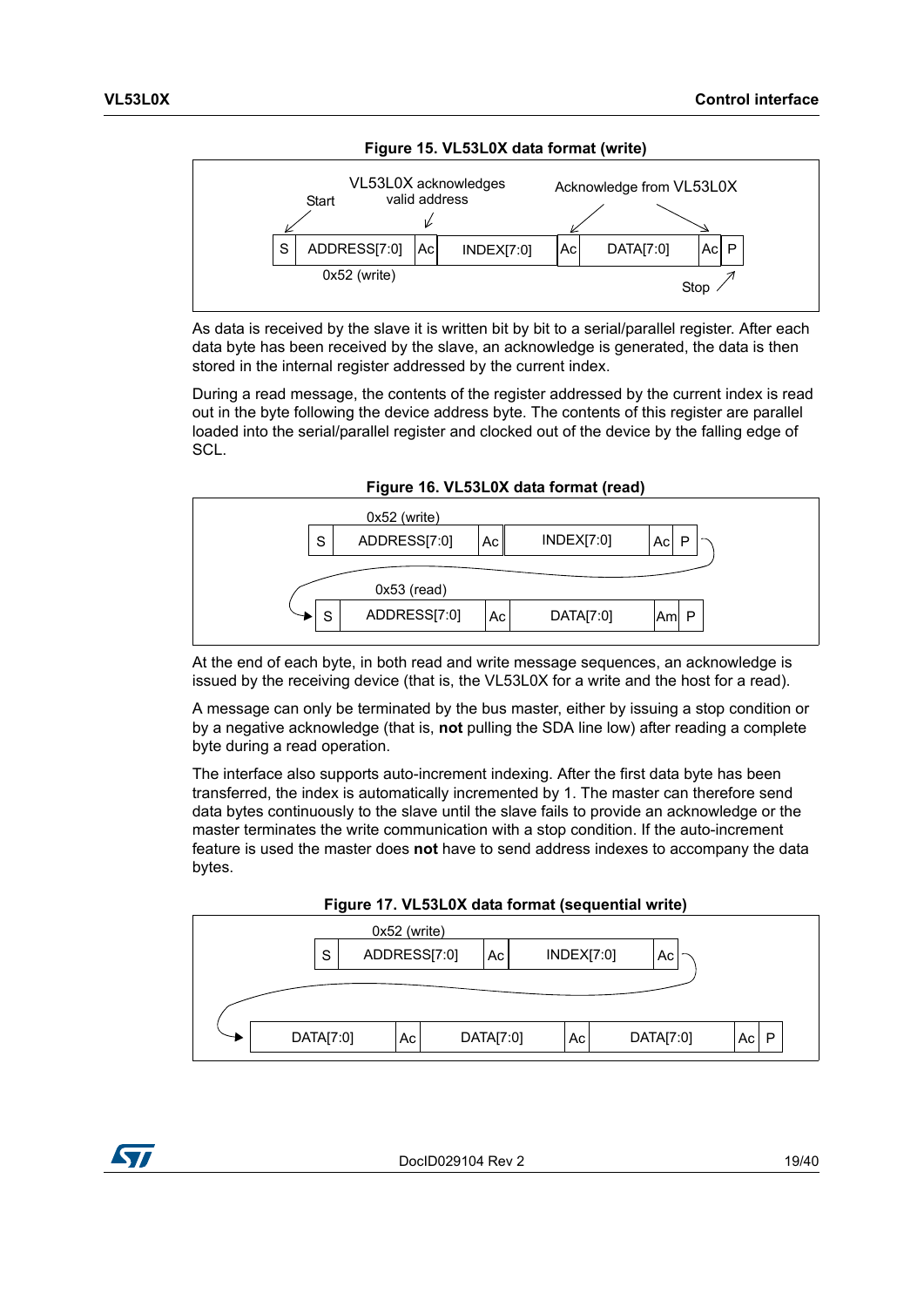<span id="page-18-0"></span>

As data is received by the slave it is written bit by bit to a serial/parallel register. After each data byte has been received by the slave, an acknowledge is generated, the data is then stored in the internal register addressed by the current index.

During a read message, the contents of the register addressed by the current index is read out in the byte following the device address byte. The contents of this register are parallel loaded into the serial/parallel register and clocked out of the device by the falling edge of SCL.



<span id="page-18-1"></span>

At the end of each byte, in both read and write message sequences, an acknowledge is issued by the receiving device (that is, the VL53L0X for a write and the host for a read).

A message can only be terminated by the bus master, either by issuing a stop condition or by a negative acknowledge (that is, **not** pulling the SDA line low) after reading a complete byte during a read operation.

The interface also supports auto-increment indexing. After the first data byte has been transferred, the index is automatically incremented by 1. The master can therefore send data bytes continuously to the slave until the slave fails to provide an acknowledge or the master terminates the write communication with a stop condition. If the auto-increment feature is used the master does **not** have to send address indexes to accompany the data bytes.



<span id="page-18-2"></span>

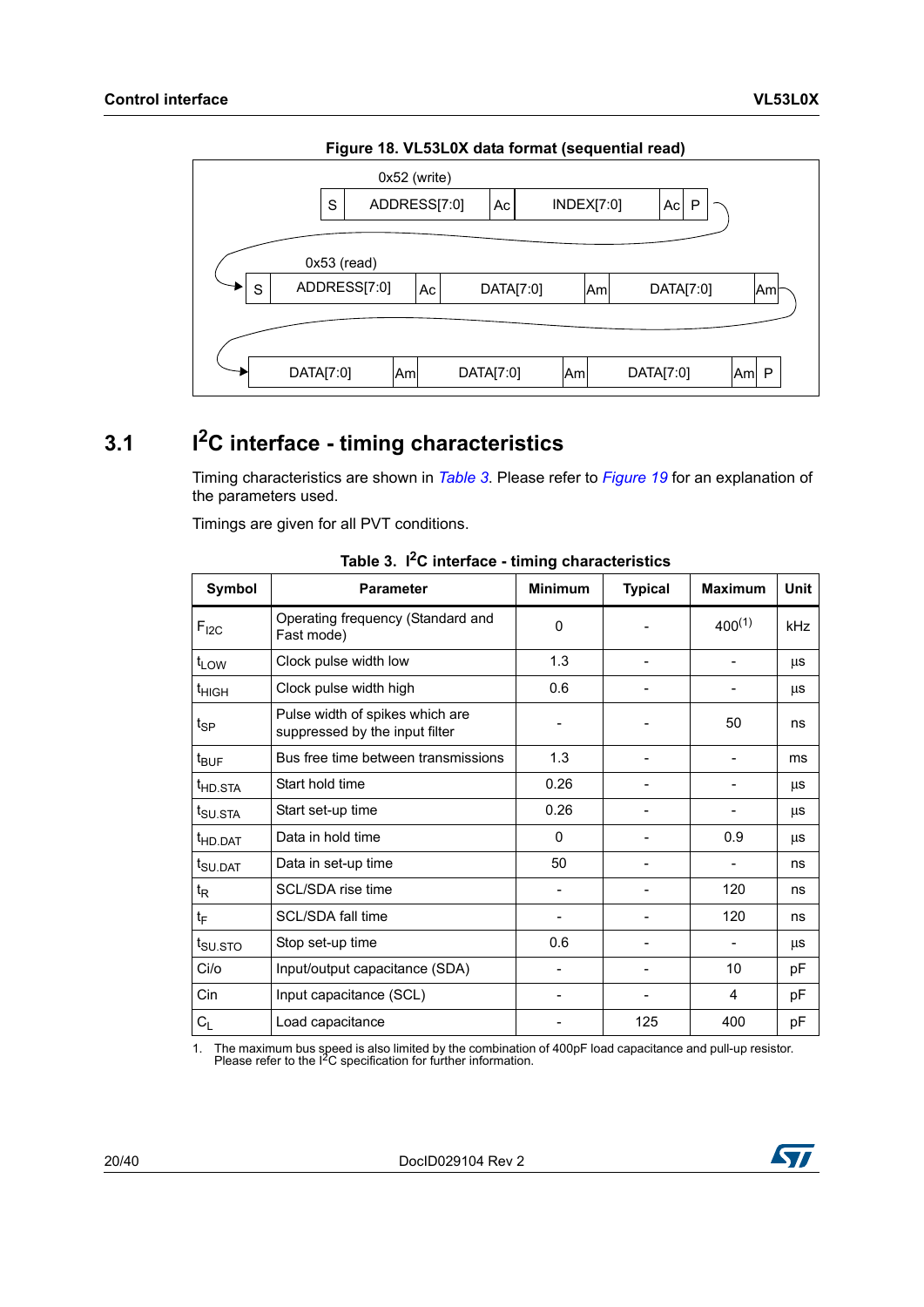<span id="page-19-2"></span>

**Figure 18. VL53L0X data format (sequential read)**

# <span id="page-19-0"></span>**3.1 I2C interface - timing characteristics**

Timing characteristics are shown in *[Table](#page-19-1) 3*. Please refer to *[Figure](#page-20-3) 19* for an explanation of the parameters used.

Timings are given for all PVT conditions.

<span id="page-19-1"></span>

| Symbol              | <b>Parameter</b>                                                  | <b>Minimum</b> | <b>Typical</b> | <b>Maximum</b> | Unit |
|---------------------|-------------------------------------------------------------------|----------------|----------------|----------------|------|
| $F_{12C}$           | Operating frequency (Standard and<br>Fast mode)                   | 0              |                | $400^{(1)}$    | kHz  |
| $t_{LOW}$           | Clock pulse width low                                             | 1.3            |                |                | μs   |
| t <sub>HIGH</sub>   | Clock pulse width high                                            | 0.6            |                |                | μs   |
| $t_{\mathsf{SP}}$   | Pulse width of spikes which are<br>suppressed by the input filter |                |                | 50             | ns   |
| $t_{\text{BUF}}$    | Bus free time between transmissions                               | 1.3            |                | -              | ms   |
| t <sub>HD.STA</sub> | Start hold time                                                   | 0.26           |                |                | μs   |
| t <sub>SU.STA</sub> | Start set-up time                                                 | 0.26           |                |                | μs   |
| <sup>t</sup> HD.DAT | Data in hold time                                                 | 0              |                | 0.9            | μs   |
| t <sub>SU.DAT</sub> | Data in set-up time                                               | 50             |                |                | ns   |
| $t_{\mathsf{R}}$    | SCL/SDA rise time                                                 |                |                | 120            | ns   |
| $t_F$               | SCL/SDA fall time                                                 |                |                | 120            | ns   |
| t <sub>SU.STO</sub> | Stop set-up time                                                  | 0.6            |                |                | μs   |
| Ci/o                | Input/output capacitance (SDA)                                    |                |                | 10             | pF   |
| Cin                 | Input capacitance (SCL)                                           |                |                | 4              | pF   |
| $C_L$               | Load capacitance                                                  |                | 125            | 400            | pF   |

**Table 3. I2C interface - timing characteristics**

1. The maximum bus speed is also limited by the combination of 400pF load capacitance and pull-up resistor. Please refer to the I2C specification for further information.

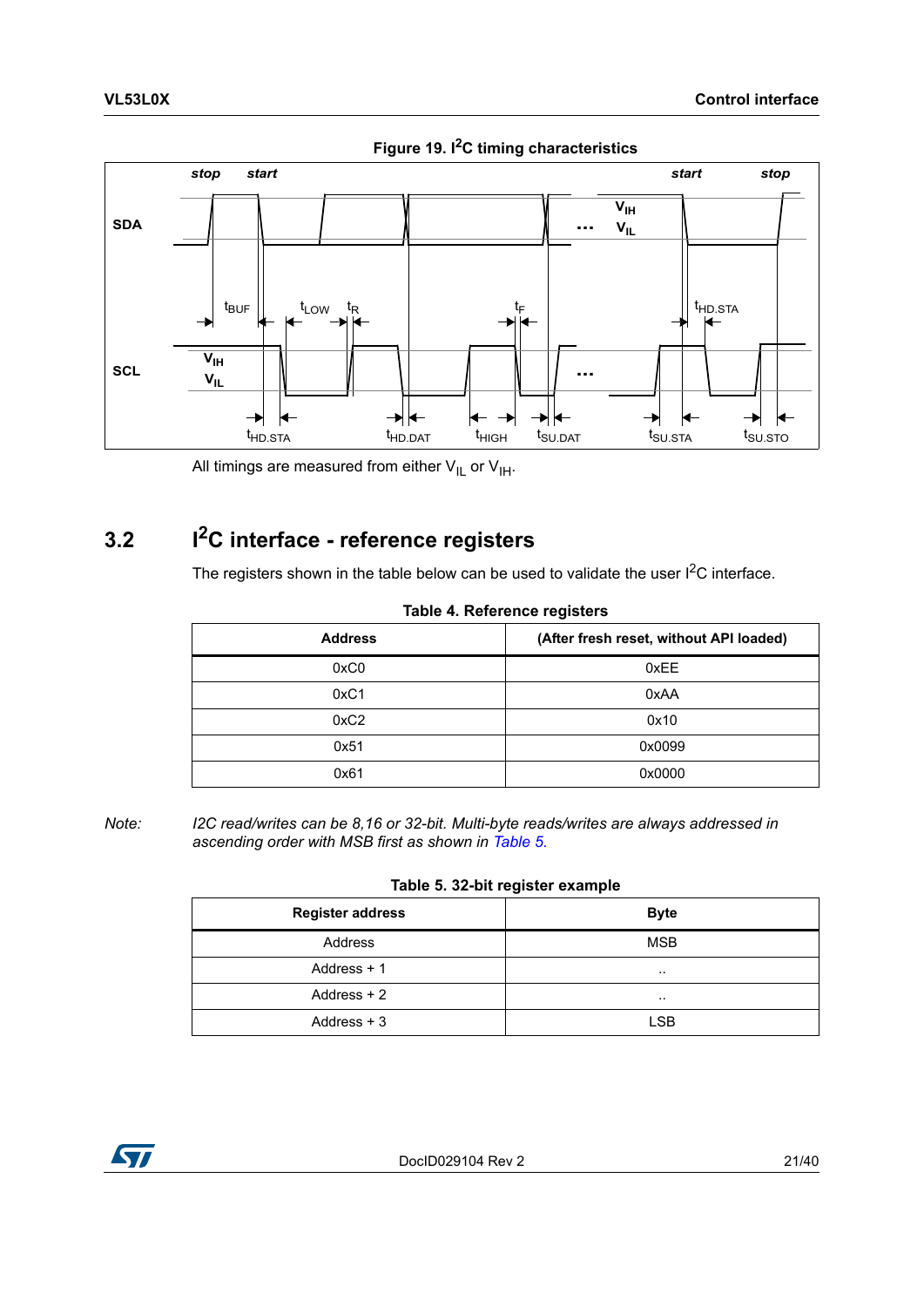<span id="page-20-3"></span>

**Figure 19. I2C timing characteristics**

All timings are measured from either  $V_{IL}$  or  $V_{IH}$ .

### <span id="page-20-0"></span>**3.2 I2C interface - reference registers**

The registers shown in the table below can be used to validate the user  $I^2C$  interface.

<span id="page-20-1"></span>

| <b>Address</b> | (After fresh reset, without API loaded) |
|----------------|-----------------------------------------|
| 0xC0           | 0xEE                                    |
| 0xC1           | 0xAA                                    |
| 0xC2           | 0x10                                    |
| 0x51           | 0x0099                                  |
| 0x61           | 0x0000                                  |

**Table 4. Reference registers**

*Note: I2C read/writes can be 8,16 or 32-bit. Multi-byte reads/writes are always addressed in ascending order with MSB first as shown in [Table 5.](#page-20-2)*

|  |  |  | Table 5. 32-bit register example |
|--|--|--|----------------------------------|
|--|--|--|----------------------------------|

<span id="page-20-2"></span>

| <b>Register address</b> | <b>Byte</b> |
|-------------------------|-------------|
| Address                 | <b>MSB</b>  |
| Address $+1$            | $\cdots$    |
| Address $+2$            | $\cdots$    |
| Address $+3$            | <b>LSB</b>  |

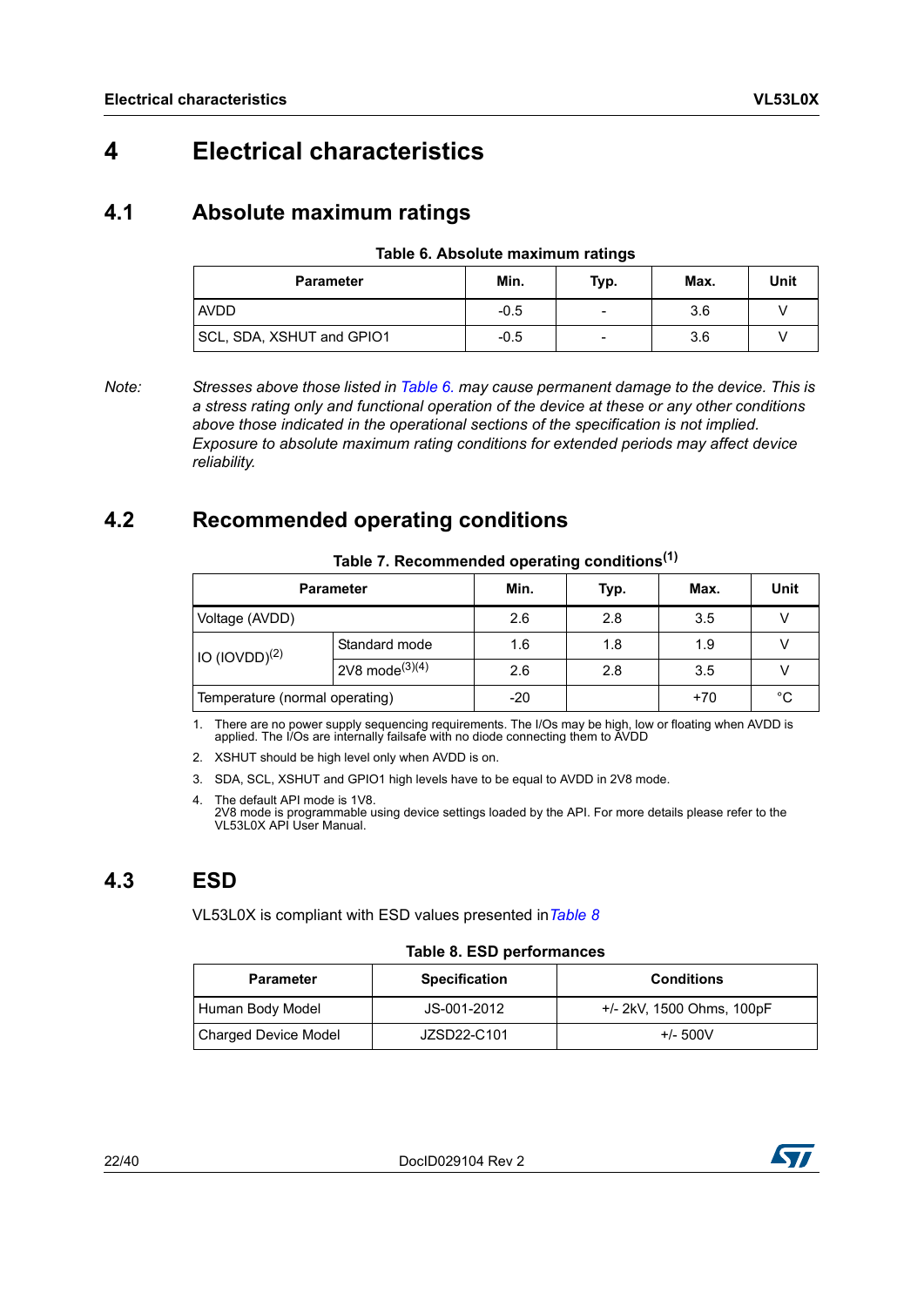## <span id="page-21-0"></span>**4 Electrical characteristics**

### <span id="page-21-1"></span>**4.1 Absolute maximum ratings**

| Table 6. Absolute maximum ratings |  |  |
|-----------------------------------|--|--|
|-----------------------------------|--|--|

<span id="page-21-4"></span>

| <b>Parameter</b>          | Min.   | Typ. | Max. | Unit |
|---------------------------|--------|------|------|------|
| <b>AVDD</b>               | $-0.5$ |      | 3.6  |      |
| SCL, SDA, XSHUT and GPIO1 | $-0.5$ | -    | 3.6  |      |

*Note: Stresses above those listed in [Table 6.](#page-21-4) may cause permanent damage to the device. This is a stress rating only and functional operation of the device at these or any other conditions above those indicated in the operational sections of the specification is not implied. Exposure to absolute maximum rating conditions for extended periods may affect device reliability.*

### <span id="page-21-2"></span>**4.2 Recommended operating conditions**

<span id="page-21-5"></span>

| rable $\iota$ . Recommended operating conditions |                               |       |      |       |      |  |  |
|--------------------------------------------------|-------------------------------|-------|------|-------|------|--|--|
|                                                  | <b>Parameter</b>              | Min.  | Typ. | Max.  | Unit |  |  |
| Voltage (AVDD)                                   |                               | 2.6   | 2.8  | 3.5   |      |  |  |
| IO (IOVDD) <sup>(2)</sup>                        | Standard mode                 | 1.6   | 1.8  | 1.9   |      |  |  |
|                                                  | $12V8$ mode <sup>(3)(4)</sup> | 2.6   | 2.8  | 3.5   |      |  |  |
| Temperature (normal operating)                   |                               | $-20$ |      | $+70$ | °C   |  |  |

#### **Table 7. Recommended operating conditions(1)**

1. There are no power supply sequencing requirements. The I/Os may be high, low or floating when AVDD is applied. The I/Os are internally failsafe with no diode connecting them to AVDD

2. XSHUT should be high level only when AVDD is on.

- 3. SDA, SCL, XSHUT and GPIO1 high levels have to be equal to AVDD in 2V8 mode.
- 4. The default API mode is 1V8. 2V8 mode is programmable using device settings loaded by the API. For more details please refer to the VL53L0X API User Manual.

### <span id="page-21-3"></span>**4.3 ESD**

VL53L0X is compliant with ESD values presented in*[Table](#page-21-6) 8*

#### **Table 8. ESD performances**

<span id="page-21-6"></span>

| <b>Parameter</b>            | <b>Specification</b> | <b>Conditions</b>         |
|-----------------------------|----------------------|---------------------------|
| Human Body Model            | JS-001-2012          | +/- 2kV, 1500 Ohms, 100pF |
| <b>Charged Device Model</b> | JZSD22-C101          | $+/- 500V$                |

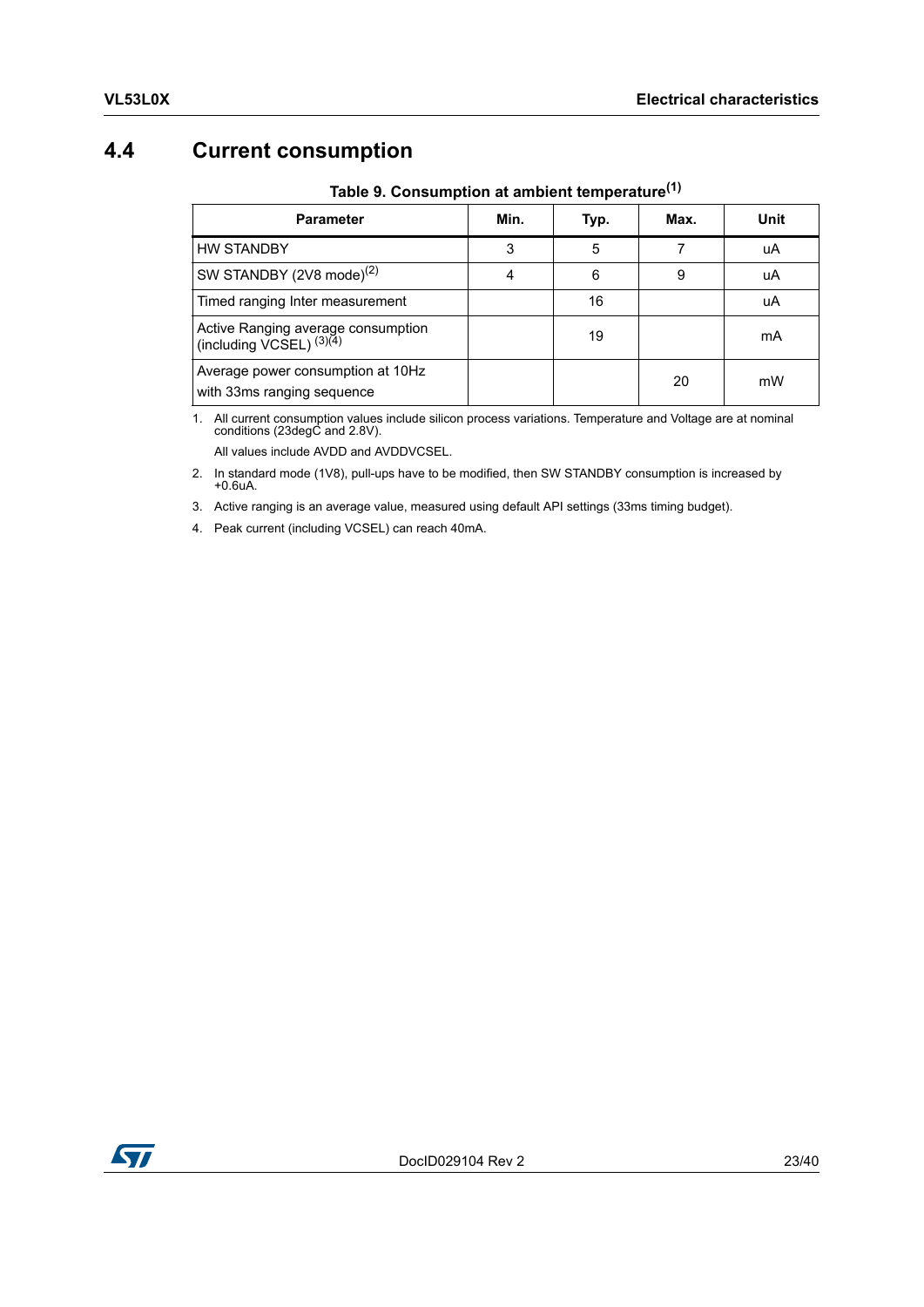### <span id="page-22-0"></span>**4.4 Current consumption**

<span id="page-22-1"></span>

| <b>Parameter</b>                                                    | Min. | Typ. | Max. | Unit |  |  |
|---------------------------------------------------------------------|------|------|------|------|--|--|
| <b>HW STANDBY</b>                                                   | 3    | 5    |      | uA   |  |  |
| SW STANDBY (2V8 mode) <sup>(2)</sup>                                | 4    | 6    | 9    | uA   |  |  |
| Timed ranging Inter measurement                                     |      | 16   |      | uA   |  |  |
| Active Ranging average consumption<br>(including $VCSEL$ ) $(3)(4)$ |      | 19   |      | mA   |  |  |
| Average power consumption at 10Hz<br>with 33ms ranging sequence     |      |      | 20   | mW   |  |  |

**Table 9. Consumption at ambient temperature(1)**

1. All current consumption values include silicon process variations. Temperature and Voltage are at nominal conditions (23degC and 2.8V). All values include AVDD and AVDDVCSEL.

2. In standard mode (1V8), pull-ups have to be modified, then SW STANDBY consumption is increased by +0.6uA.

3. Active ranging is an average value, measured using default API settings (33ms timing budget).

4. Peak current (including VCSEL) can reach 40mA.

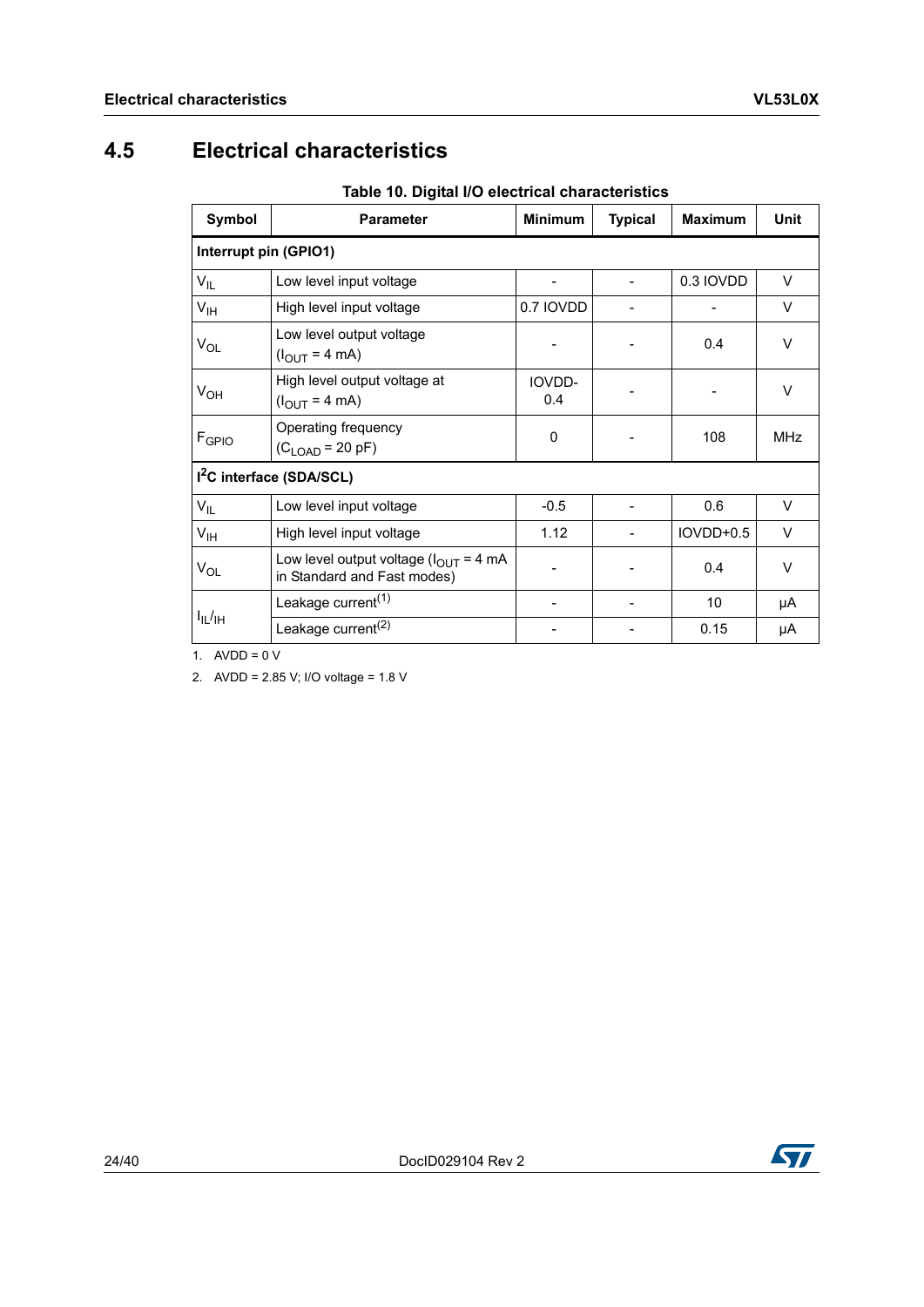### <span id="page-23-0"></span>**4.5 Electrical characteristics**

**Table 10. Digital I/O electrical characteristics**

<span id="page-23-1"></span>

| Symbol                | <b>Parameter</b>                                                                          | <b>Minimum</b> | <b>Typical</b> | <b>Maximum</b> | <b>Unit</b> |
|-----------------------|-------------------------------------------------------------------------------------------|----------------|----------------|----------------|-------------|
| Interrupt pin (GPIO1) |                                                                                           |                |                |                |             |
| $V_{IL}$              | Low level input voltage                                                                   |                |                | 0.3 IOVDD      | $\vee$      |
| $V_{\text{IH}}$       | High level input voltage                                                                  | 0.7 IOVDD      |                |                | V           |
| $V_{OL}$              | Low level output voltage<br>$(I_{\text{OUT}} = 4 \text{ mA})$                             |                |                | 0.4            | V           |
| $V_{OH}$              | High level output voltage at<br>$(I_{\text{OUT}} = 4 \text{ mA})$                         | IOVDD-<br>0.4  |                |                | $\vee$      |
| F <sub>GPIO</sub>     | Operating frequency<br>$(CLOAD = 20 pF)$                                                  | 0              |                | 108            | <b>MHz</b>  |
|                       | 1 <sup>2</sup> C interface (SDA/SCL)                                                      |                |                |                |             |
| $V_{IL}$              | Low level input voltage                                                                   | $-0.5$         |                | 0.6            | $\vee$      |
| $V_{\text{IH}}$       | High level input voltage                                                                  | 1.12           |                | IOVDD+0.5      | $\vee$      |
| $V_{OL}$              | Low level output voltage $(l_{\text{OUT}} = 4 \text{ mA})$<br>in Standard and Fast modes) |                |                | 0.4            | $\vee$      |
|                       | Leakage current <sup>(1)</sup>                                                            |                |                | 10             | μA          |
| $I_{IL}/H$            | Leakage current <sup>(2)</sup>                                                            |                |                | 0.15           | μA          |

1.  $AVDD = 0 V$ 

2. AVDD = 2.85 V; I/O voltage = 1.8 V

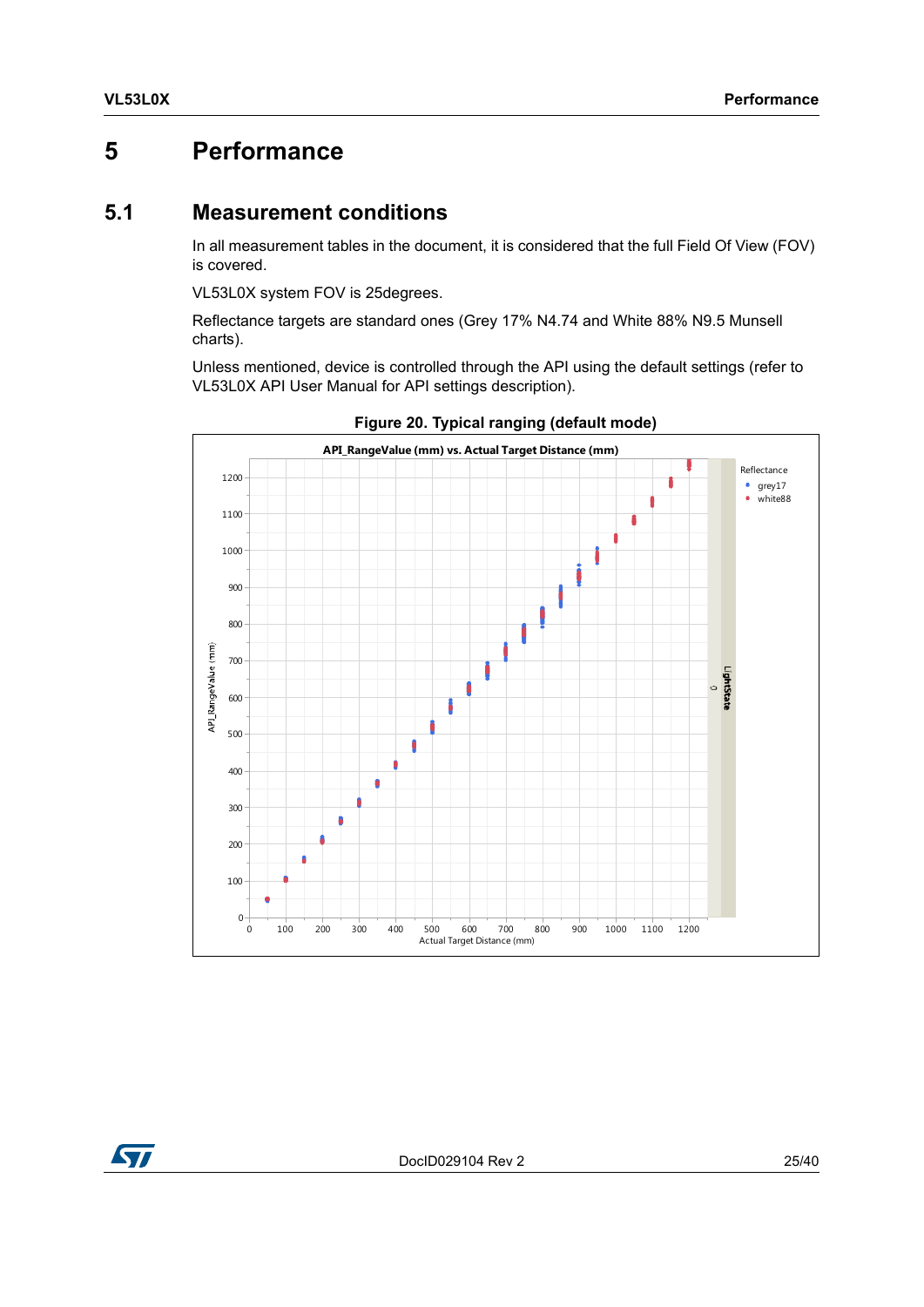### <span id="page-24-0"></span>**5 Performance**

#### <span id="page-24-1"></span>**5.1 Measurement conditions**

In all measurement tables in the document, it is considered that the full Field Of View (FOV) is covered.

VL53L0X system FOV is 25degrees.

Reflectance targets are standard ones (Grey 17% N4.74 and White 88% N9.5 Munsell charts).

Unless mentioned, device is controlled through the API using the default settings (refer to VL53L0X API User Manual for API settings description).

<span id="page-24-2"></span>

**Figure 20. Typical ranging (default mode)**

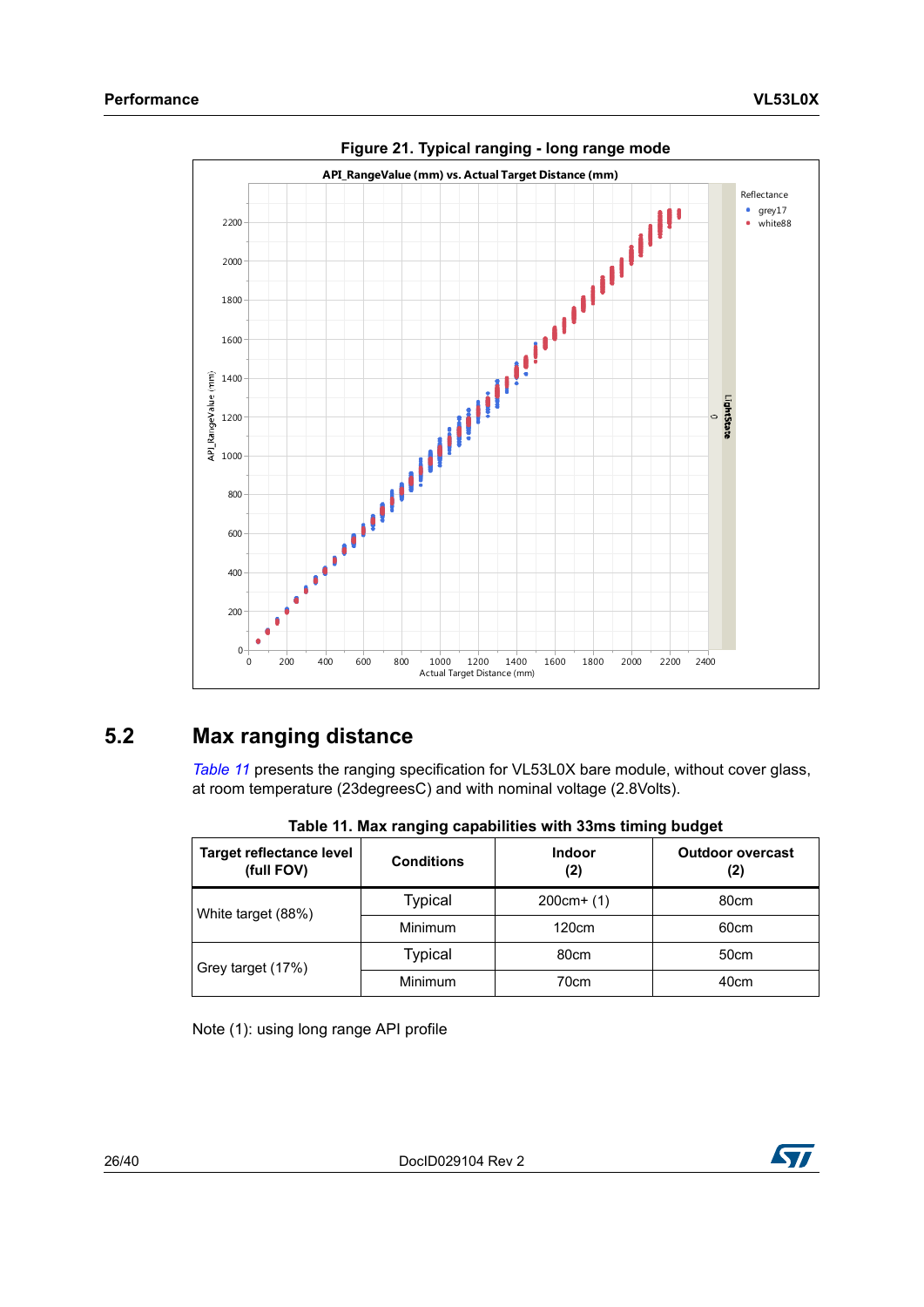<span id="page-25-2"></span>

**Figure 21. Typical ranging - long range mode**

### <span id="page-25-0"></span>**5.2 Max ranging distance**

*[Table](#page-25-1) 11* presents the ranging specification for VL53L0X bare module, without cover glass, at room temperature (23degreesC) and with nominal voltage (2.8Volts).

<span id="page-25-1"></span>

| <b>Target reflectance level</b><br>(full FOV) | <b>Conditions</b> | Indoor<br>(2) | <b>Outdoor overcast</b><br>(2) |
|-----------------------------------------------|-------------------|---------------|--------------------------------|
| White target (88%)                            | Typical           | $200cm+ (1)$  | 80cm                           |
|                                               | <b>Minimum</b>    | 120cm         | 60cm                           |
| Grey target (17%)                             | Typical           | 80cm          | 50cm                           |
|                                               | <b>Minimum</b>    | 70cm          | 40cm                           |

|  |  | Table 11. Max ranging capabilities with 33ms timing budget |
|--|--|------------------------------------------------------------|
|--|--|------------------------------------------------------------|

Note (1): using long range API profile

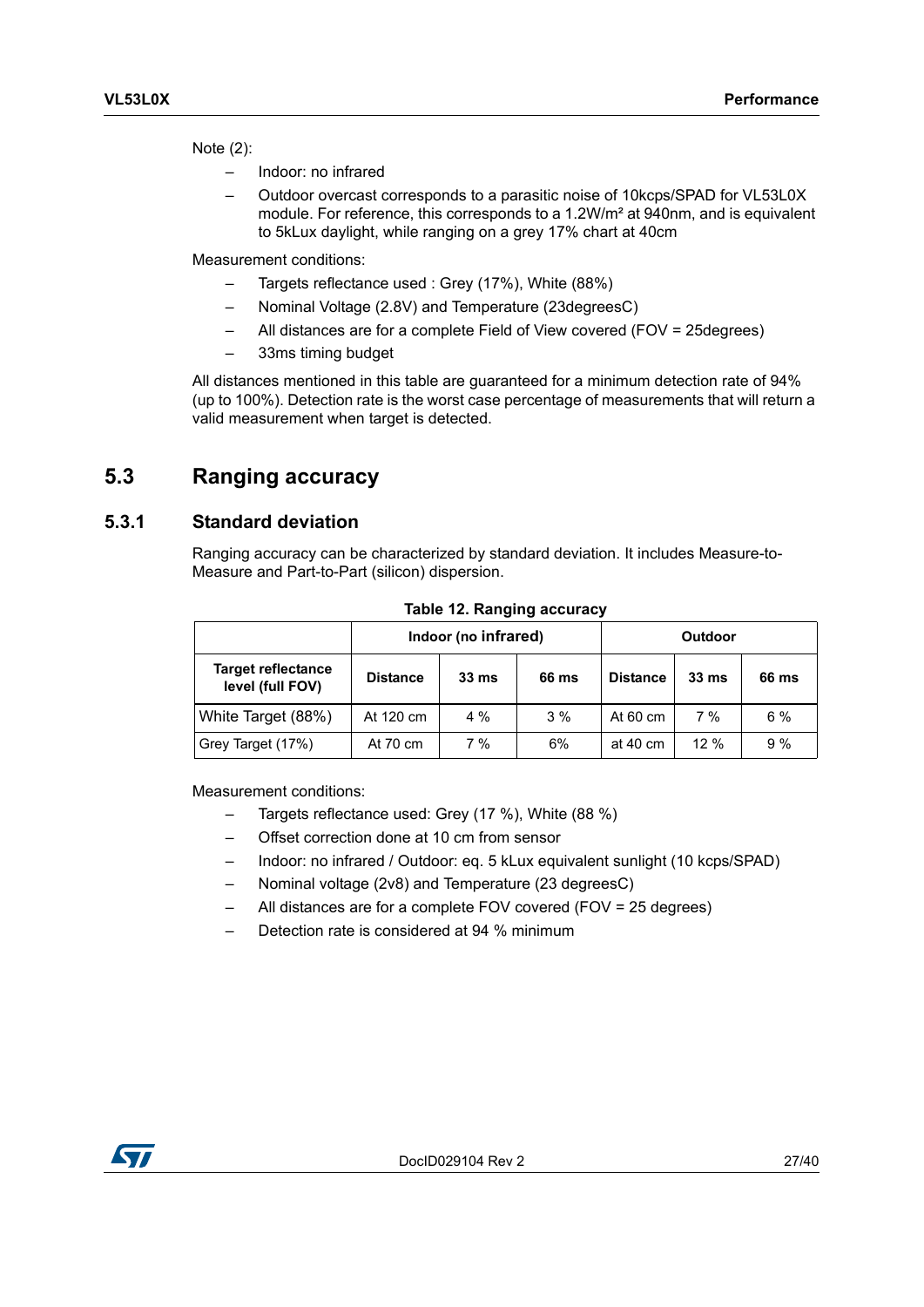Note (2):

- Indoor: no infrared
- Outdoor overcast corresponds to a parasitic noise of 10kcps/SPAD for VL53L0X module. For reference, this corresponds to a 1.2W/m² at 940nm, and is equivalent to 5kLux daylight, while ranging on a grey 17% chart at 40cm

Measurement conditions:

- Targets reflectance used : Grey (17%), White (88%)
- Nominal Voltage (2.8V) and Temperature (23degreesC)
- All distances are for a complete Field of View covered (FOV = 25degrees)
- 33ms timing budget

All distances mentioned in this table are guaranteed for a minimum detection rate of 94% (up to 100%). Detection rate is the worst case percentage of measurements that will return a valid measurement when target is detected.

### <span id="page-26-0"></span>**5.3 Ranging accuracy**

#### <span id="page-26-1"></span>**5.3.1 Standard deviation**

Ranging accuracy can be characterized by standard deviation. It includes Measure-to-Measure and Part-to-Part (silicon) dispersion.

<span id="page-26-2"></span>

|                                               | Indoor (no infrared) |                  |       |                    | Outdoor          |       |
|-----------------------------------------------|----------------------|------------------|-------|--------------------|------------------|-------|
| <b>Target reflectance</b><br>level (full FOV) | <b>Distance</b>      | 33 <sub>ms</sub> | 66 ms | <b>Distance</b>    | 33 <sub>ms</sub> | 66 ms |
| White Target (88%)                            | At 120 cm            | $4\%$            | 3%    | At $60 \text{ cm}$ | 7%               | 6%    |
| Grey Target (17%)                             | At 70 cm             | 7 %              | 6%    | at 40 cm           | 12%              | 9%    |

**Table 12. Ranging accuracy**

Measurement conditions:

- Targets reflectance used: Grey (17 %), White (88 %)
- Offset correction done at 10 cm from sensor
- Indoor: no infrared / Outdoor: eq. 5 kLux equivalent sunlight (10 kcps/SPAD)
- Nominal voltage (2v8) and Temperature (23 degreesC)
- All distances are for a complete FOV covered (FOV = 25 degrees)
- Detection rate is considered at 94 % minimum

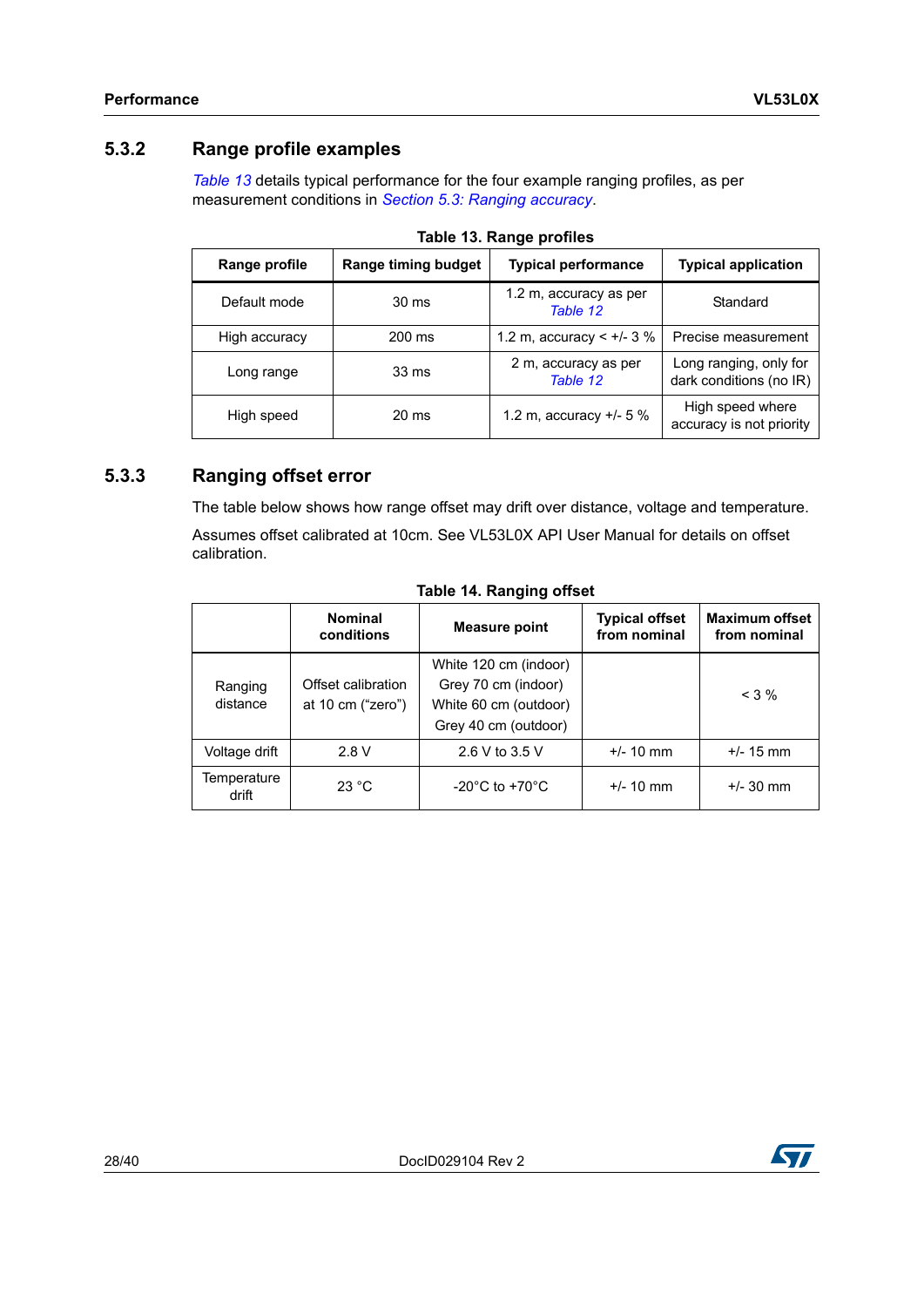#### <span id="page-27-0"></span>**5.3.2 Range profile examples**

*[Table](#page-27-2) 13* details typical performance for the four example ranging profiles, as per measurement conditions in *Section [5.3: Ranging accuracy](#page-26-0)*.

<span id="page-27-2"></span>

| <b>Range timing budget</b><br>Range profile |        | <b>Typical performance</b>         | <b>Typical application</b>                        |  |  |
|---------------------------------------------|--------|------------------------------------|---------------------------------------------------|--|--|
| Default mode                                | 30 ms  | 1.2 m, accuracy as per<br>Table 12 | Standard                                          |  |  |
| High accuracy                               | 200 ms | 1.2 m, accuracy < $+/- 3 \%$       | Precise measurement                               |  |  |
| Long range                                  | 33 ms  | 2 m, accuracy as per<br>Table 12   | Long ranging, only for<br>dark conditions (no IR) |  |  |
| High speed                                  | 20 ms  | 1.2 m, accuracy $+/- 5 \%$         | High speed where<br>accuracy is not priority      |  |  |

**Table 13. Range profiles**

#### <span id="page-27-1"></span>**5.3.3 Ranging offset error**

The table below shows how range offset may drift over distance, voltage and temperature. Assumes offset calibrated at 10cm. See VL53L0X API User Manual for details on offset calibration.

<span id="page-27-3"></span>

|                      | <b>Nominal</b><br>conditions            | <b>Measure point</b>                                                                          | <b>Typical offset</b><br>from nominal | <b>Maximum offset</b><br>from nominal |
|----------------------|-----------------------------------------|-----------------------------------------------------------------------------------------------|---------------------------------------|---------------------------------------|
| Ranging<br>distance  | Offset calibration<br>at 10 cm ("zero") | White 120 cm (indoor)<br>Grey 70 cm (indoor)<br>White 60 cm (outdoor)<br>Grey 40 cm (outdoor) |                                       | $<$ 3 %                               |
| Voltage drift        | 2.8V                                    | 2.6 V to 3.5 V                                                                                | $+/- 10$ mm                           | $+/- 15$ mm                           |
| Temperature<br>drift | 23 °C                                   | $-20^{\circ}$ C to $+70^{\circ}$ C                                                            | $+/- 10$ mm                           | $+/- 30$ mm                           |

#### **Table 14. Ranging offset**

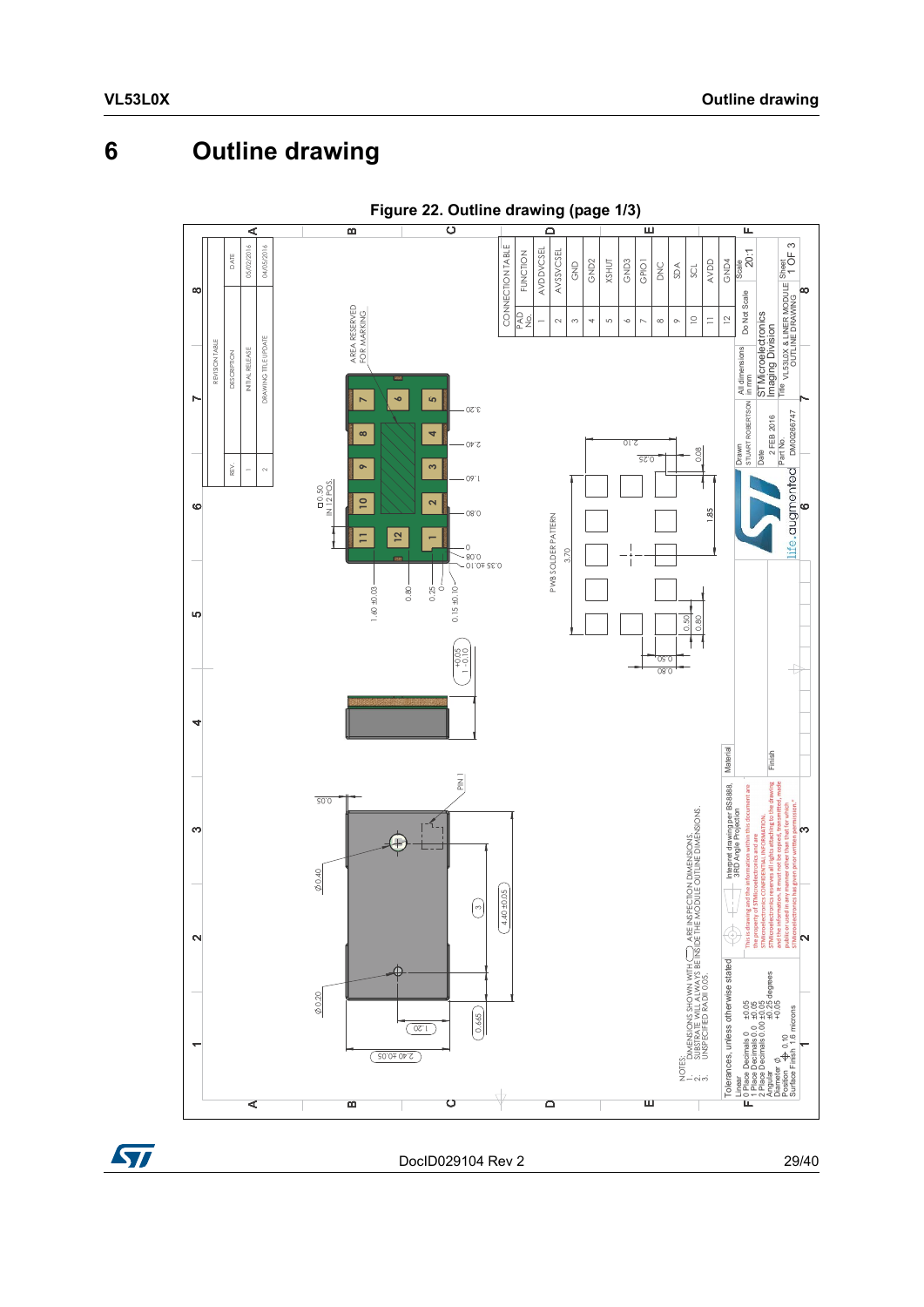# <span id="page-28-0"></span>**6 Outline drawing**

<span id="page-28-2"></span><span id="page-28-1"></span>

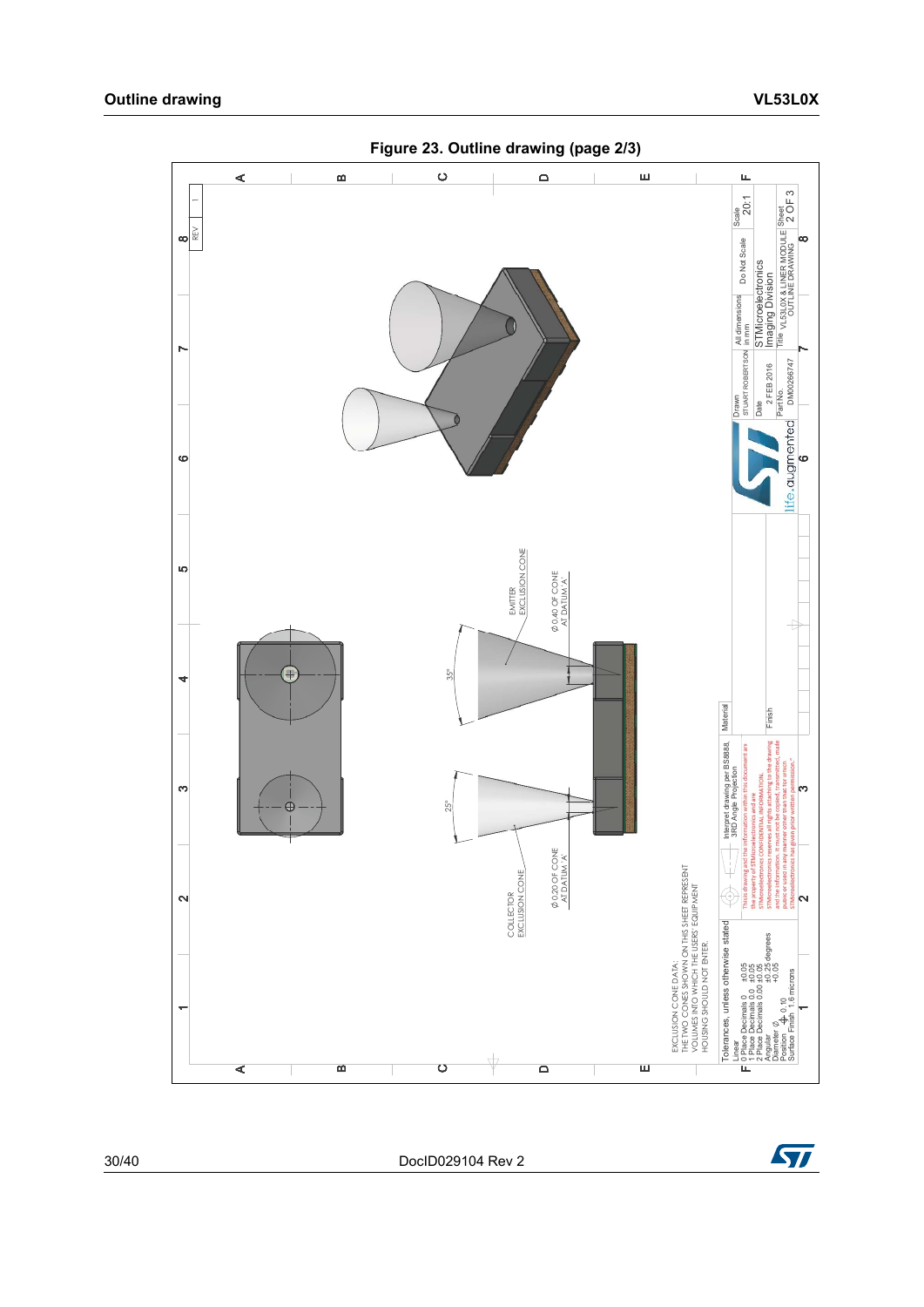<span id="page-29-0"></span>

30/40 DocID029104 Rev 2

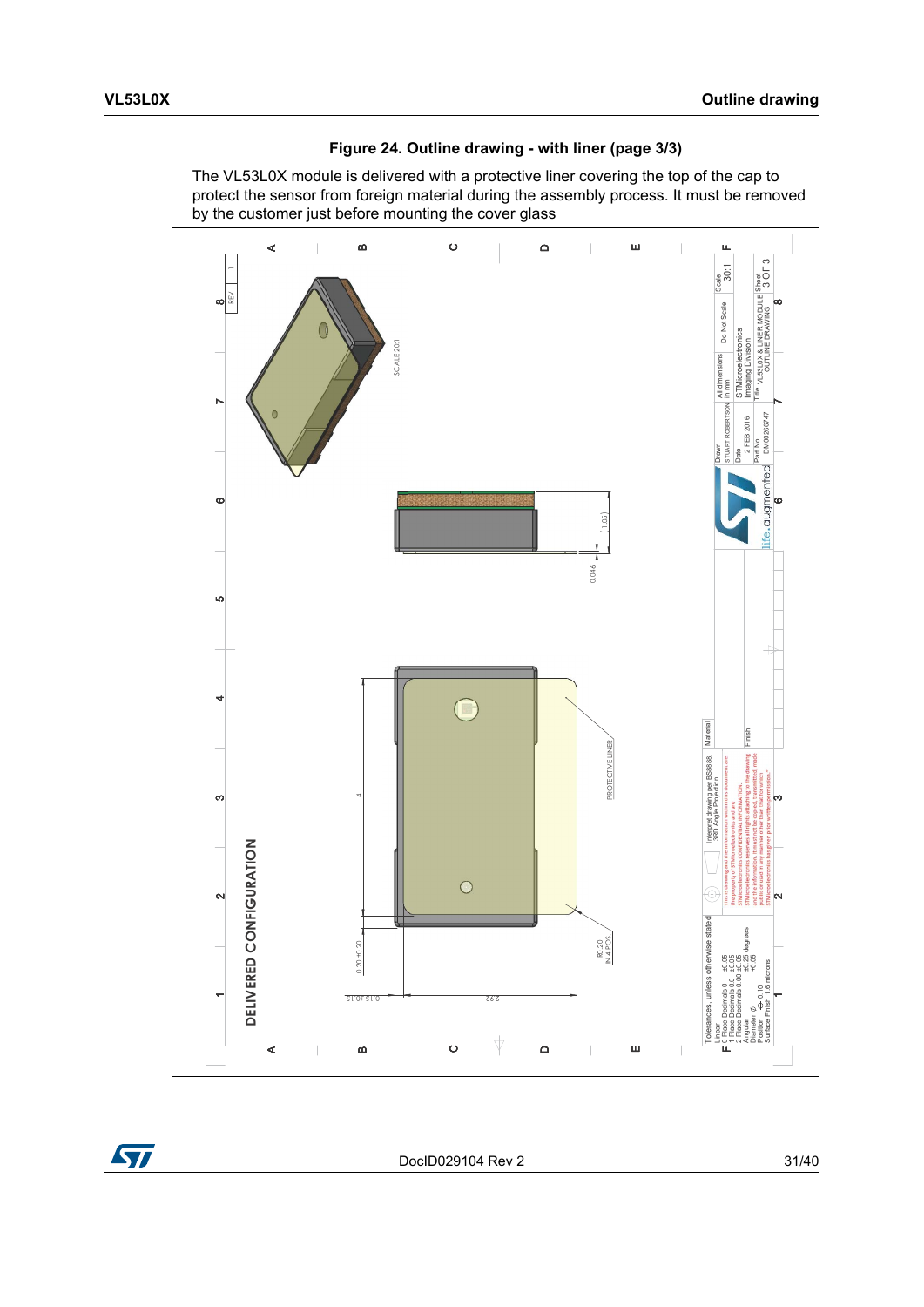

<span id="page-30-1"></span>**Figure 24. Outline drawing - with liner (page 3/3)**

<span id="page-30-0"></span>The VL53L0X module is delivered with a protective liner covering the top of the cap to protect the sensor from foreign material during the assembly process. It must be removed by the customer just before mounting the cover glass

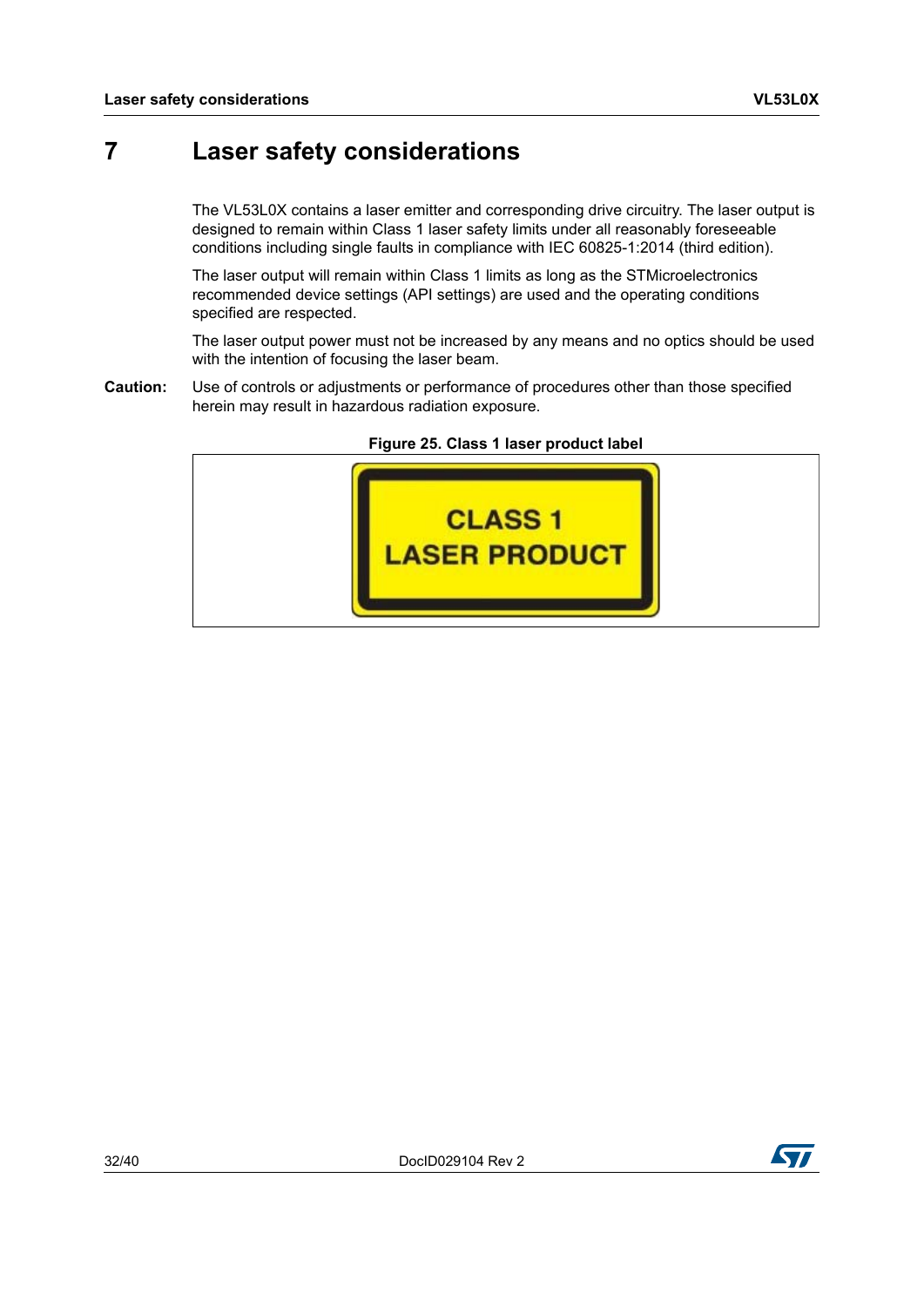### <span id="page-31-0"></span>**7 Laser safety considerations**

The VL53L0X contains a laser emitter and corresponding drive circuitry. The laser output is designed to remain within Class 1 laser safety limits under all reasonably foreseeable conditions including single faults in compliance with IEC 60825-1:2014 (third edition).

The laser output will remain within Class 1 limits as long as the STMicroelectronics recommended device settings (API settings) are used and the operating conditions specified are respected.

The laser output power must not be increased by any means and no optics should be used with the intention of focusing the laser beam.

**Caution:** Use of controls or adjustments or performance of procedures other than those specified herein may result in hazardous radiation exposure.

<span id="page-31-1"></span>

**Figure 25. Class 1 laser product label**

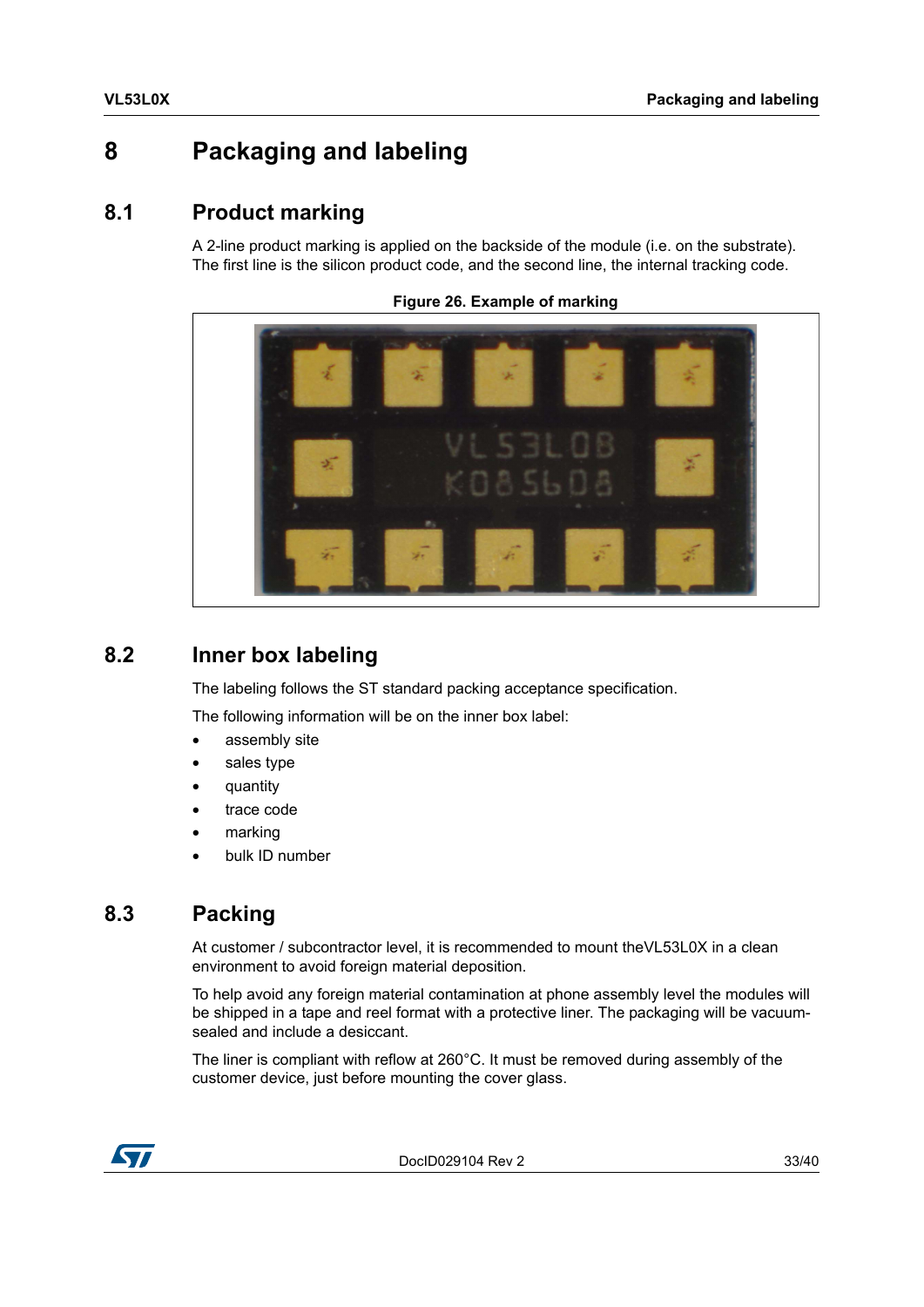### <span id="page-32-0"></span>**8 Packaging and labeling**

### <span id="page-32-1"></span>**8.1 Product marking**

A 2-line product marking is applied on the backside of the module (i.e. on the substrate). The first line is the silicon product code, and the second line, the internal tracking code.

<span id="page-32-4"></span>**Figure 26. Example of marking**



### <span id="page-32-2"></span>**8.2 Inner box labeling**

The labeling follows the ST standard packing acceptance specification.

The following information will be on the inner box label:

- assembly site
- sales type
- quantity
- trace code
- marking
- bulk ID number

### <span id="page-32-3"></span>**8.3 Packing**

At customer / subcontractor level, it is recommended to mount theVL53L0X in a clean environment to avoid foreign material deposition.

To help avoid any foreign material contamination at phone assembly level the modules will be shipped in a tape and reel format with a protective liner. The packaging will be vacuumsealed and include a desiccant.

The liner is compliant with reflow at 260°C. It must be removed during assembly of the customer device, just before mounting the cover glass.



DocID029104 Rev 2 33/40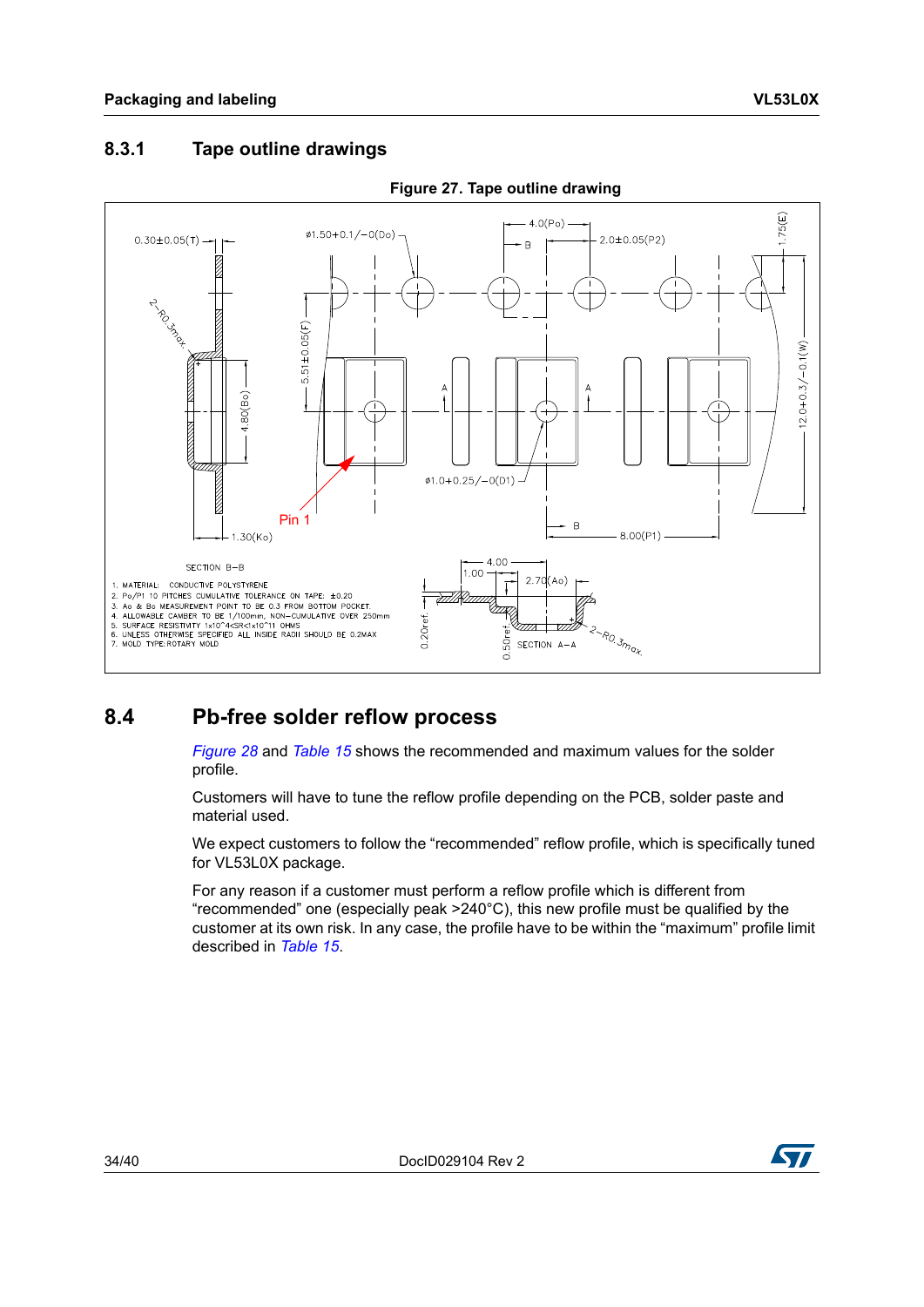#### <span id="page-33-2"></span><span id="page-33-0"></span>**8.3.1 Tape outline drawings**



#### **Figure 27. Tape outline drawing**

### <span id="page-33-1"></span>**8.4 Pb-free solder reflow process**

*[Figure](#page-34-1) 28* and *[Table](#page-34-0) 15* shows the recommended and maximum values for the solder profile.

Customers will have to tune the reflow profile depending on the PCB, solder paste and material used.

We expect customers to follow the "recommended" reflow profile, which is specifically tuned for VL53L0X package.

For any reason if a customer must perform a reflow profile which is different from "recommended" one (especially peak >240°C), this new profile must be qualified by the customer at its own risk. In any case, the profile have to be within the "maximum" profile limit described in *[Table](#page-34-0) 15*.

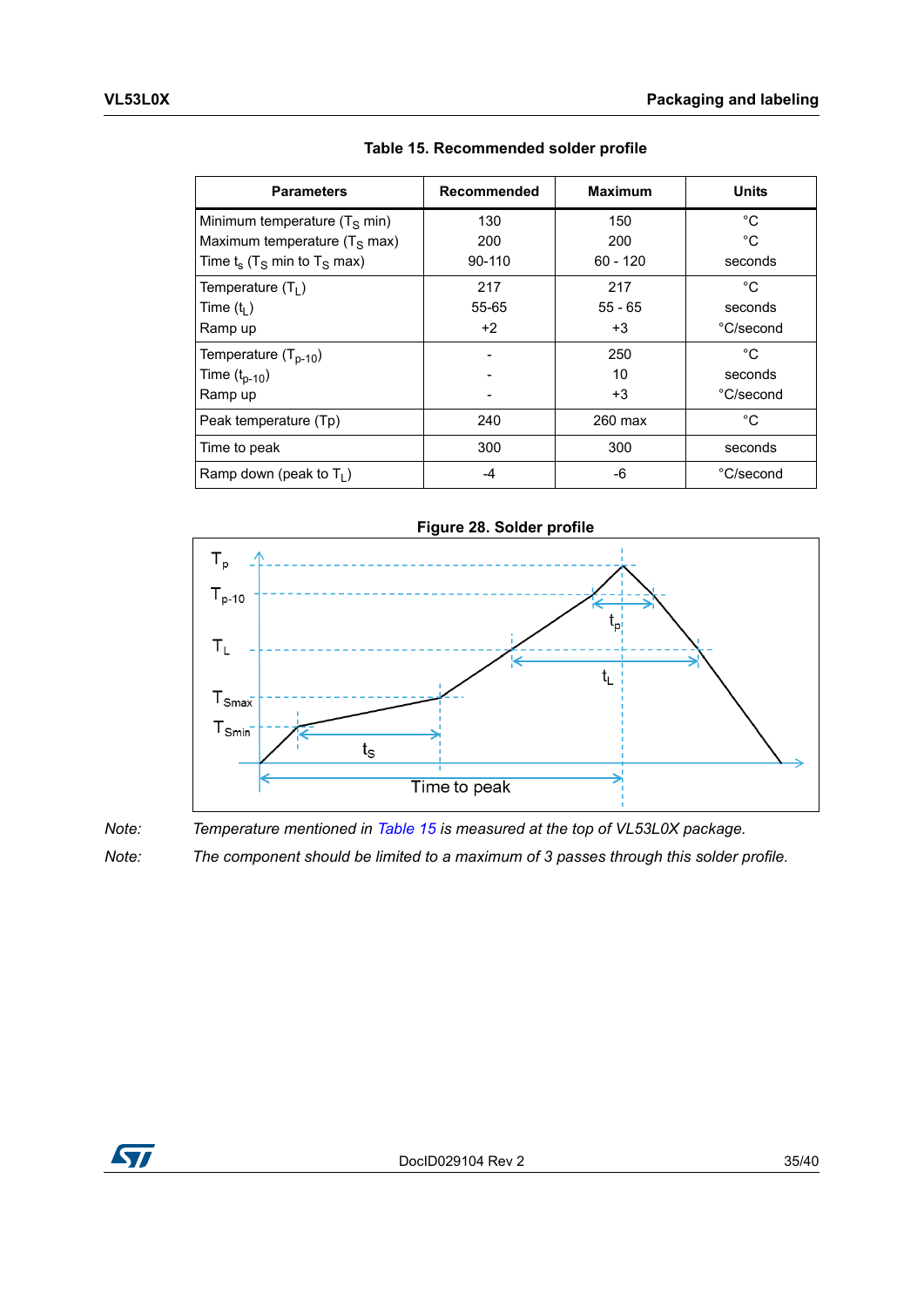<span id="page-34-0"></span>

| <b>Parameters</b>                                     | Recommended | <b>Maximum</b> | <b>Units</b> |
|-------------------------------------------------------|-------------|----------------|--------------|
| Minimum temperature $(T_S \text{ min})$               | 130         | 150            | °C.          |
| Maximum temperature $(T_S \text{ max})$               | 200         | 200            | °C           |
| Time $t_s$ (T <sub>S</sub> min to T <sub>S</sub> max) | $90-110$    | $60 - 120$     | seconds      |
| Temperature $(T_1)$                                   | 217         | 217            | °C           |
| Time $(t1)$                                           | 55-65       | $55 - 65$      | seconds      |
| Ramp up                                               | $+2$        | +3             | °C/second    |
| Temperature $(T_{p-10})$                              |             | 250            | °C           |
| Time $(t_{p-10})$                                     |             | 10             | seconds      |
| Ramp up                                               |             | $+3$           | °C/second    |
| Peak temperature (Tp)                                 | 240         | 260 max        | °C           |
| Time to peak                                          | 300         | 300            | seconds      |
| Ramp down (peak to $T_1$ )                            | -4          | -6             | °C/second    |

**Table 15. Recommended solder profile**

<span id="page-34-1"></span>

*Note: Temperature mentioned in [Table](#page-34-0) 15 is measured at the top of VL53L0X package.*

*Note: The component should be limited to a maximum of 3 passes through this solder profile.*

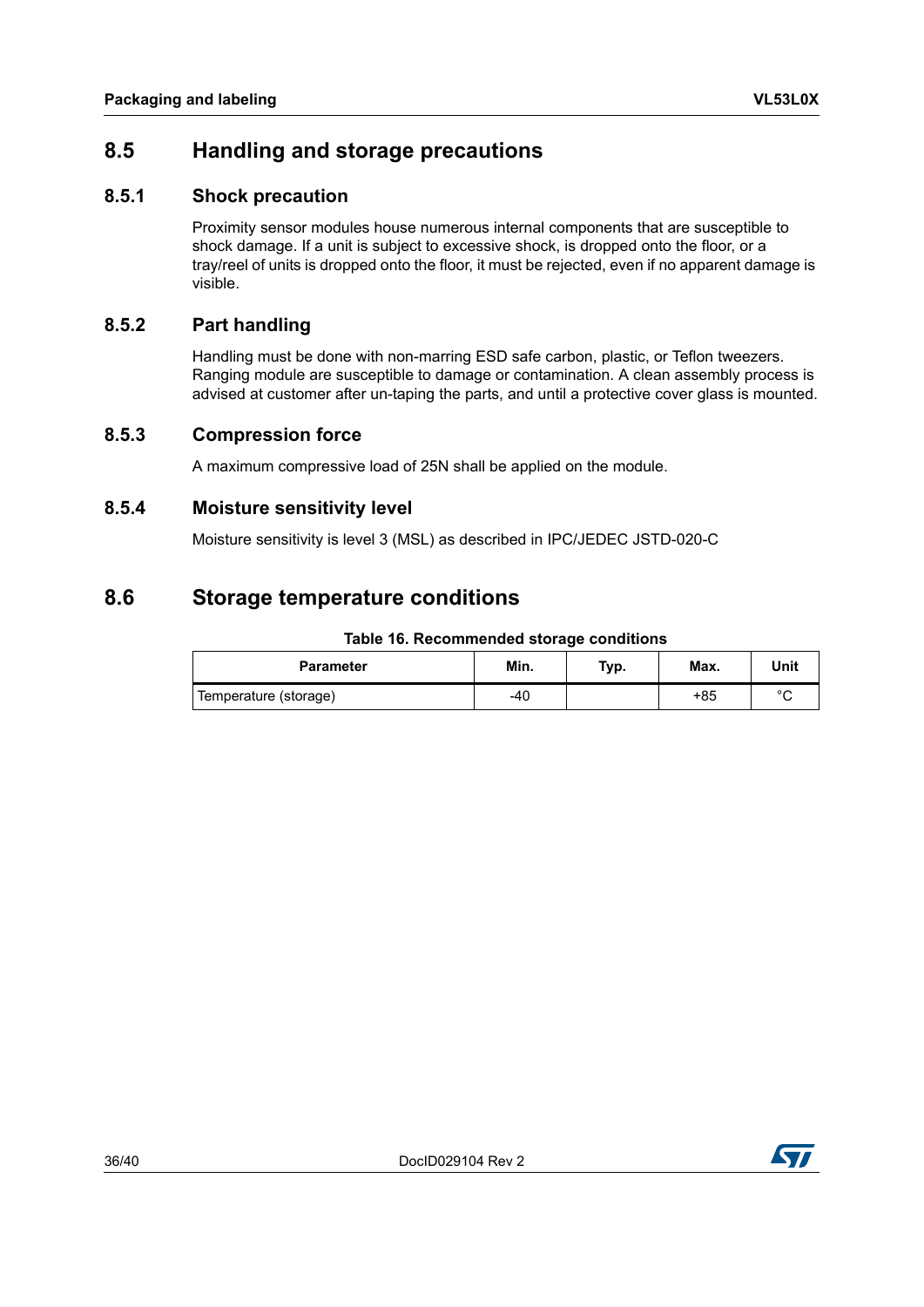### <span id="page-35-0"></span>**8.5 Handling and storage precautions**

#### <span id="page-35-1"></span>**8.5.1 Shock precaution**

Proximity sensor modules house numerous internal components that are susceptible to shock damage. If a unit is subject to excessive shock, is dropped onto the floor, or a tray/reel of units is dropped onto the floor, it must be rejected, even if no apparent damage is visible.

#### <span id="page-35-2"></span>**8.5.2 Part handling**

Handling must be done with non-marring ESD safe carbon, plastic, or Teflon tweezers. Ranging module are susceptible to damage or contamination. A clean assembly process is advised at customer after un-taping the parts, and until a protective cover glass is mounted.

#### <span id="page-35-3"></span>**8.5.3 Compression force**

A maximum compressive load of 25N shall be applied on the module.

#### <span id="page-35-4"></span>**8.5.4 Moisture sensitivity level**

Moisture sensitivity is level 3 (MSL) as described in IPC/JEDEC JSTD-020-C

### <span id="page-35-5"></span>**8.6 Storage temperature conditions**

#### **Table 16. Recommended storage conditions**

<span id="page-35-6"></span>

| <b>Parameter</b>      | Min. | Typ. | Max. | Unit    |
|-----------------------|------|------|------|---------|
| Temperature (storage) | -40  |      | +85  | $\circ$ |

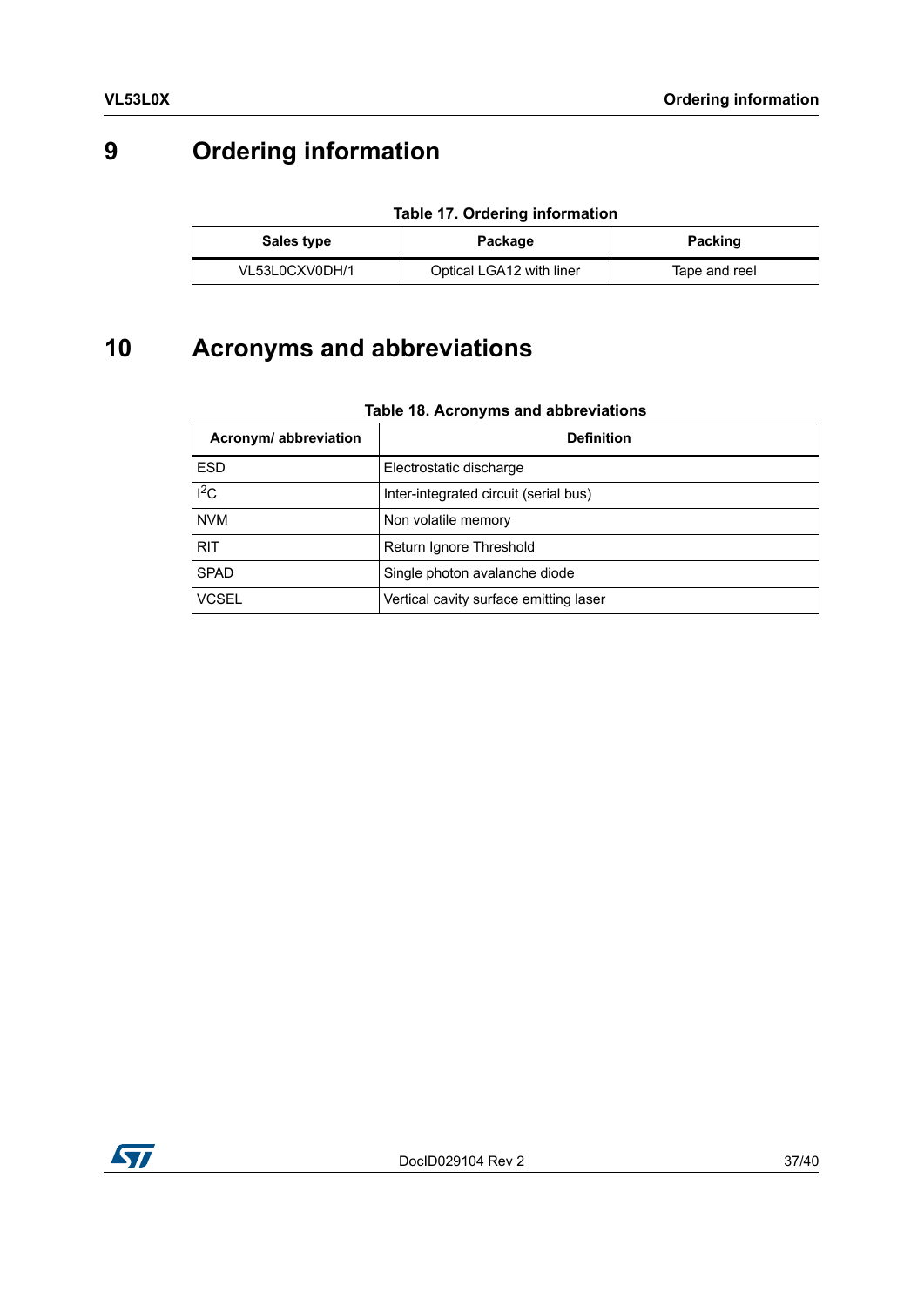# <span id="page-36-0"></span>**9 Ordering information**

<span id="page-36-2"></span>

| <u>19910 - 17: Ordonnig milommation</u> |                          |                |  |  |
|-----------------------------------------|--------------------------|----------------|--|--|
| Sales type                              | Package                  | <b>Packing</b> |  |  |
| VL53L0CXV0DH/1                          | Optical LGA12 with liner | Tape and reel  |  |  |

#### **Table 17. Ordering information**

# <span id="page-36-1"></span>**10 Acronyms and abbreviations**

#### **Table 18. Acronyms and abbreviations**

<span id="page-36-3"></span>

| Acronym/ abbreviation | <b>Definition</b>                      |  |
|-----------------------|----------------------------------------|--|
| <b>ESD</b>            | Electrostatic discharge                |  |
| $I^2C$                | Inter-integrated circuit (serial bus)  |  |
| <b>NVM</b>            | Non volatile memory                    |  |
| <b>RIT</b>            | Return Ignore Threshold                |  |
| <b>SPAD</b>           | Single photon avalanche diode          |  |
| <b>VCSEL</b>          | Vertical cavity surface emitting laser |  |

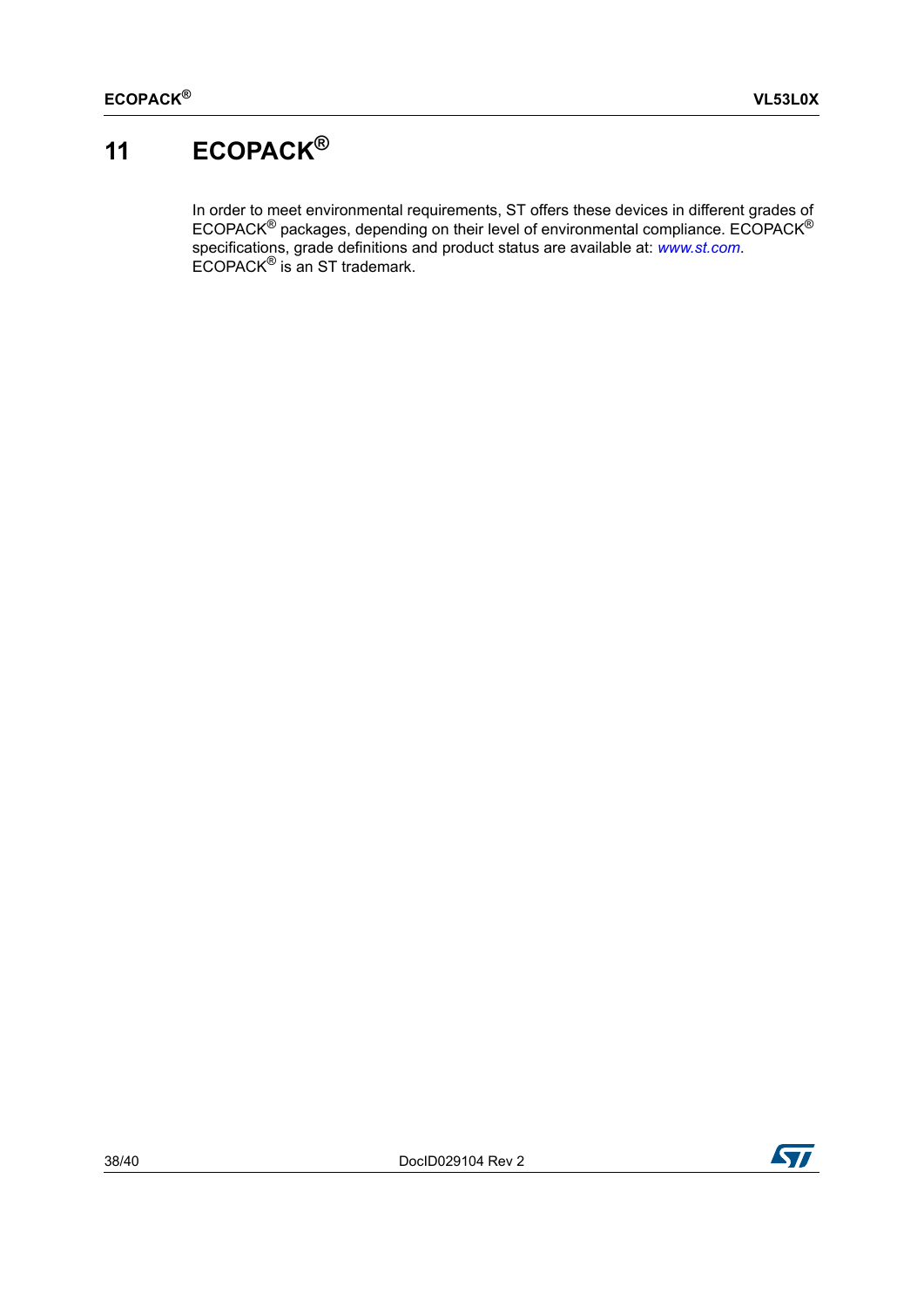# <span id="page-37-0"></span>**11 ECOPACK®**

In order to meet environmental requirements, ST offers these devices in different grades of ECOPACK<sup>®</sup> packages, depending on their level of environmental compliance. ECOPACK<sup>®</sup> specifications, grade definitions and product status are available at: *[www.st.com](http://www.st.com)*. ECOPACK® is an ST trademark.

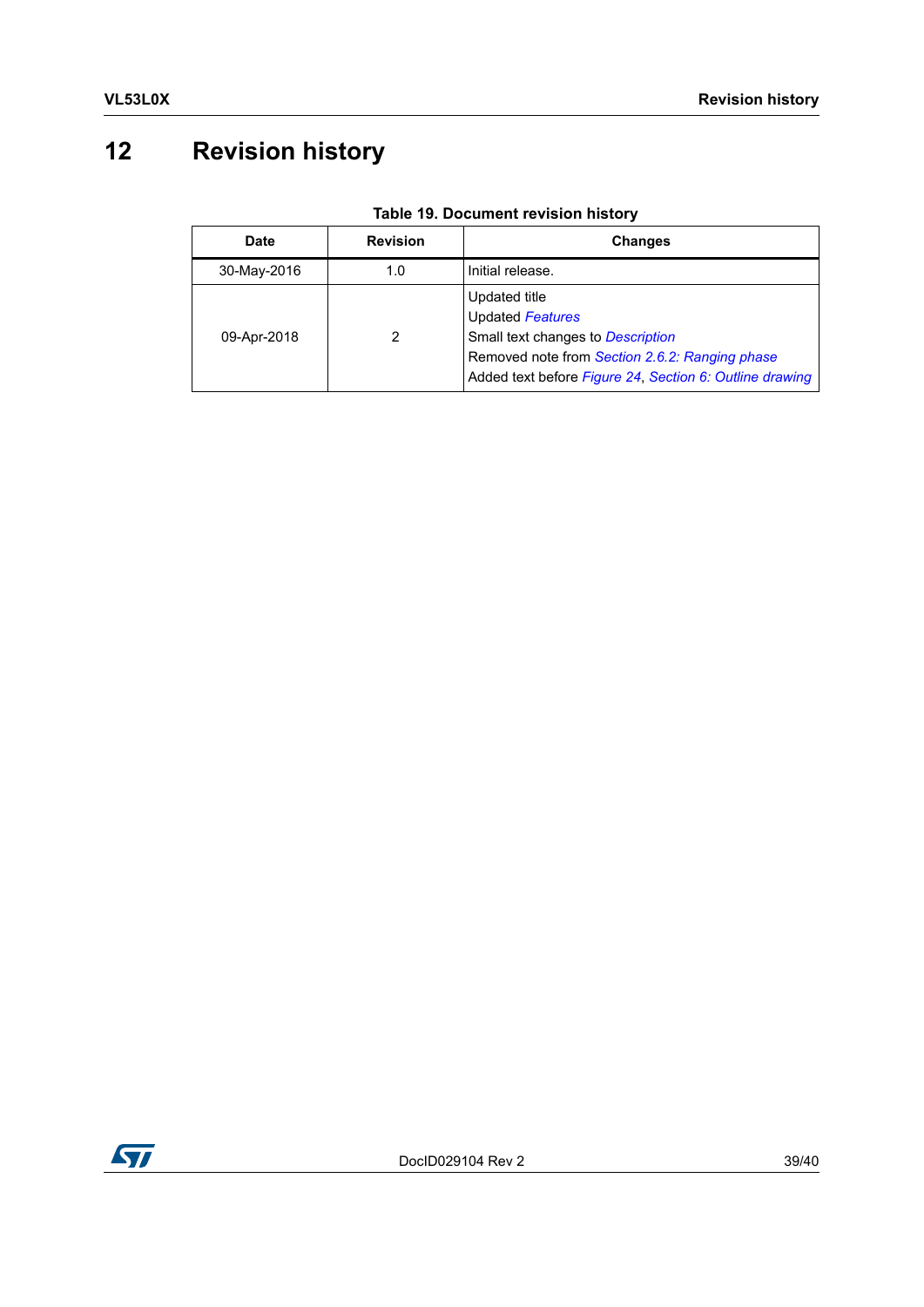# <span id="page-38-0"></span>**12 Revision history**

<span id="page-38-1"></span>

| <b>Date</b> | <b>Revision</b> | <b>Changes</b>                                                                                                                                                                             |
|-------------|-----------------|--------------------------------------------------------------------------------------------------------------------------------------------------------------------------------------------|
| 30-May-2016 | 1.0             | Initial release.                                                                                                                                                                           |
| 09-Apr-2018 | 2               | Updated title<br><b>Updated Features</b><br>Small text changes to Description<br>Removed note from Section 2.6.2: Ranging phase<br>Added text before Figure 24, Section 6: Outline drawing |

#### **Table 19. Document revision history**

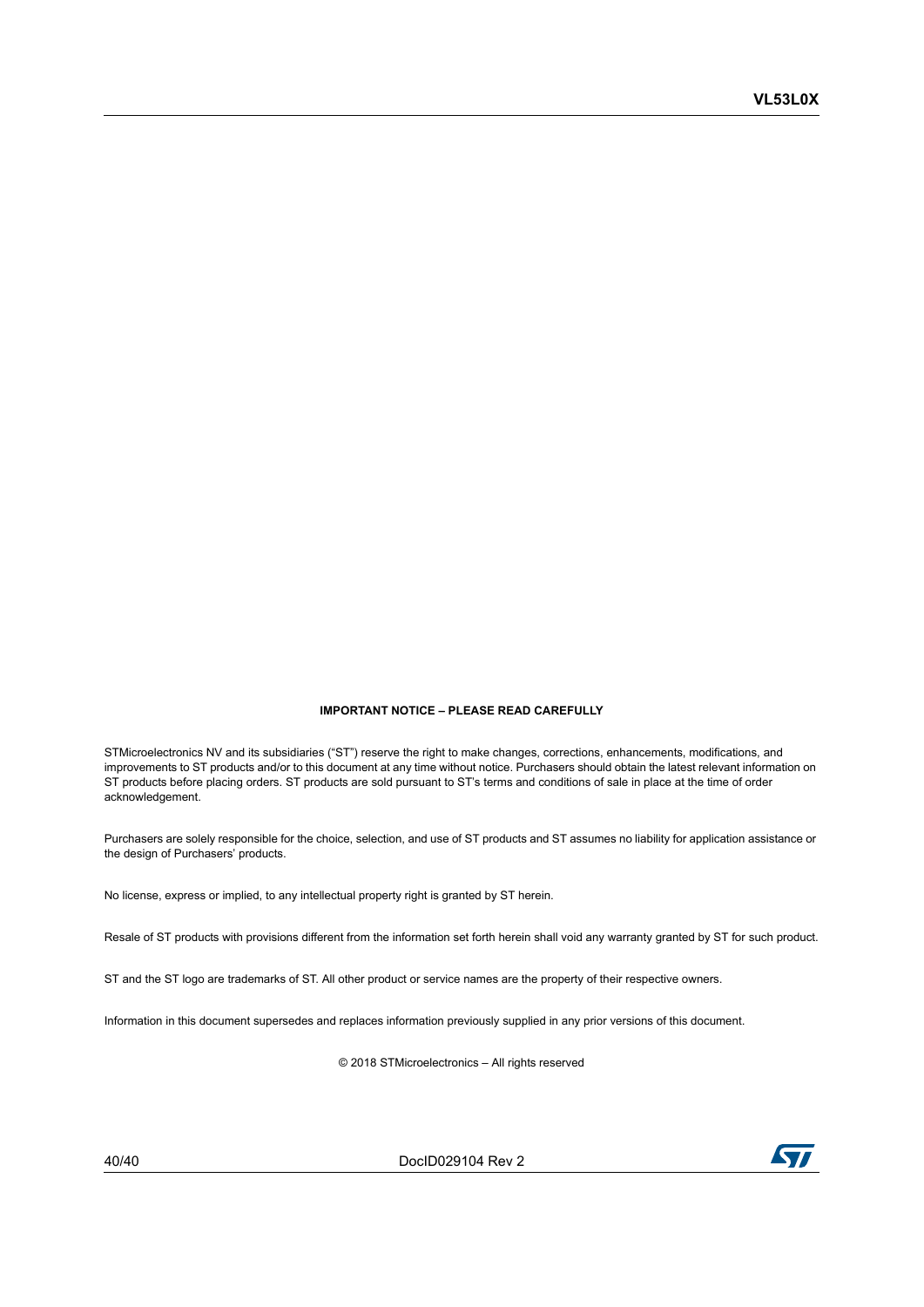#### **IMPORTANT NOTICE – PLEASE READ CAREFULLY**

STMicroelectronics NV and its subsidiaries ("ST") reserve the right to make changes, corrections, enhancements, modifications, and improvements to ST products and/or to this document at any time without notice. Purchasers should obtain the latest relevant information on ST products before placing orders. ST products are sold pursuant to ST's terms and conditions of sale in place at the time of order acknowledgement.

Purchasers are solely responsible for the choice, selection, and use of ST products and ST assumes no liability for application assistance or the design of Purchasers' products.

No license, express or implied, to any intellectual property right is granted by ST herein.

Resale of ST products with provisions different from the information set forth herein shall void any warranty granted by ST for such product.

ST and the ST logo are trademarks of ST. All other product or service names are the property of their respective owners.

Information in this document supersedes and replaces information previously supplied in any prior versions of this document.

© 2018 STMicroelectronics – All rights reserved

40/40 DocID029104 Rev 2